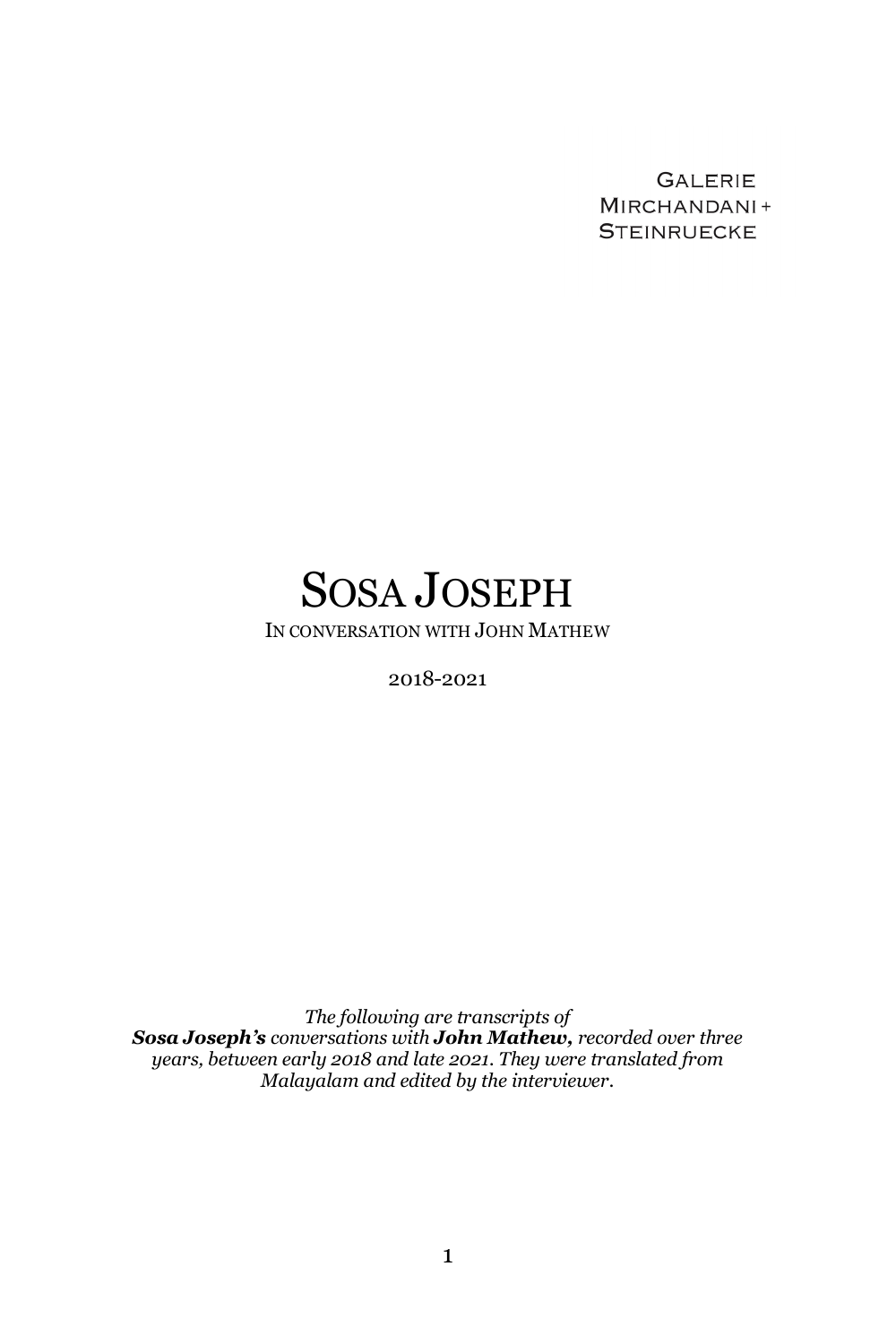**GALERIE** MIRCHANDANI+ **STEINRUECKE** 

# SOSA JOSEPH

IN CONVERSATION WITH JOHN MATHEW

2018-2021

*The following are transcripts of Sosa Joseph's conversations with John Mathew, recorded over three years, between early 2018 and late 2021. They were translated from Malayalam and edited by the interviewer.*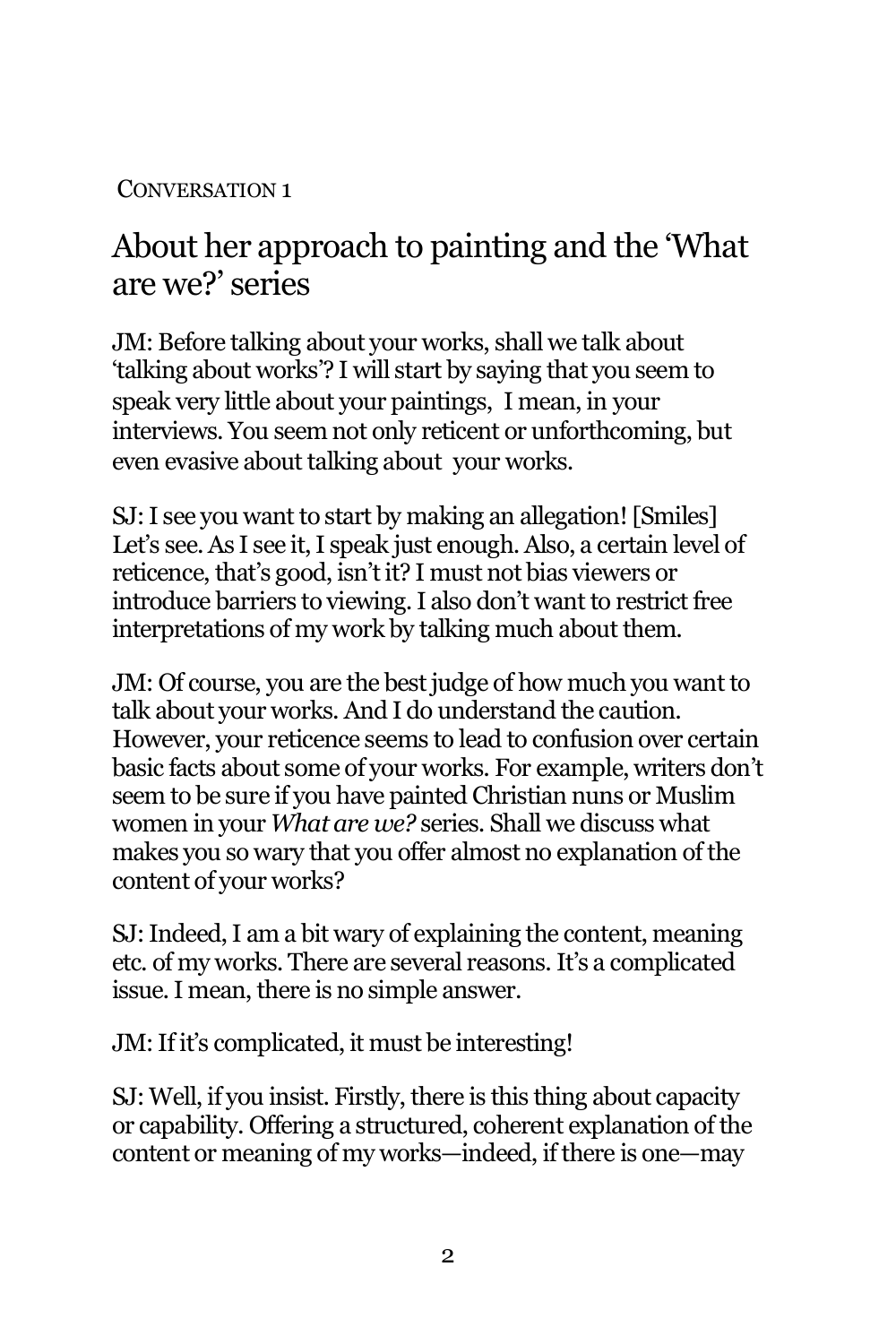#### CONVERSATION 1

## About her approach to painting and the 'What are we?' series

JM: Before talking about your works, shall we talk about 'talking about works'? I will start by saying that you seem to speak very little about your paintings, I mean, in your interviews. You seem not only reticent or unforthcoming, but even evasive about talking about your works.

SJ: I see you want to start by making an allegation! [Smiles] Let's see. As I see it, I speak just enough. Also, a certain level of reticence, that's good, isn't it? I must not bias viewers or introduce barriers to viewing. I also don't want to restrict free interpretations of my work by talking much about them.

JM: Of course, you are the best judge of how much you want to talk about your works. And I do understand the caution. However, your reticence seems to lead to confusion over certain basic facts about some of your works. For example, writers don't seem to be sure if you have painted Christian nuns or Muslim women in your *What are we?* series. Shall we discuss what makes you so wary that you offer almost no explanation of the content of your works?

SJ: Indeed, I am a bit wary of explaining the content, meaning etc. of my works. There are several reasons. It's a complicated issue. I mean, there is no simple answer.

JM: If it's complicated, it must be interesting!

SJ: Well, if you insist. Firstly, there is this thing about capacity or capability. Offering a structured, coherent explanation of the content or meaning of my works—indeed, if there is one—may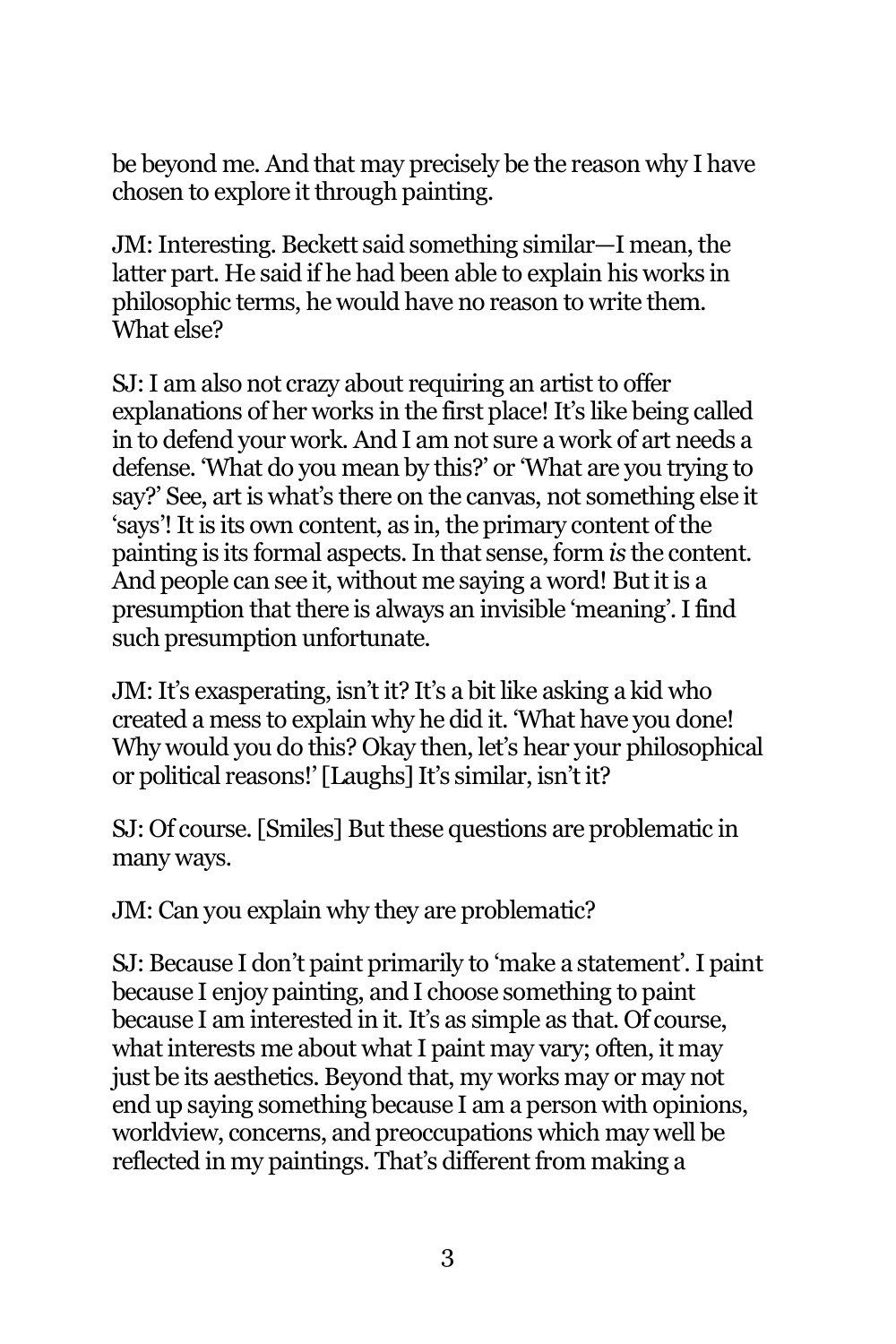be beyond me. And that may precisely be the reason why I have chosen to explore it through painting.

JM: Interesting. Beckett said something similar—I mean, the latter part. He said if he had been able to explain his works in philosophic terms, he would have no reason to write them. What else?

SJ: I am also not crazy about requiring an artist to offer explanations of her works in the first place! It's like being called in to defend your work. And I am not sure a work of art needs a defense. 'What do you mean by this?' or 'What are you trying to say?' See, art is what's there on the canvas, not something else it 'says'! It is its own content, as in, the primary content of the painting is its formal aspects. In that sense, form *is* the content. And people can see it, without me saying a word! But it is a presumption that there is always an invisible 'meaning'. I find such presumption unfortunate.

JM: It's exasperating, isn't it? It's a bit like asking a kid who created a mess to explain why he did it. 'What have you done! Why would you do this? Okay then, let's hear your philosophical or political reasons!' [Laughs] It's similar, isn't it?

SJ: Of course. [Smiles] But these questions are problematic in many ways.

JM: Can you explain why they are problematic?

SJ: Because I don't paint primarily to 'make a statement'. I paint because I enjoy painting, and I choose something to paint because I am interested in it. It's as simple as that. Of course, what interests me about what I paint may vary; often, it may just be its aesthetics. Beyond that, my works may or may not end up saying something because I am a person with opinions, worldview, concerns, and preoccupations which may well be reflected in my paintings. That's different from making a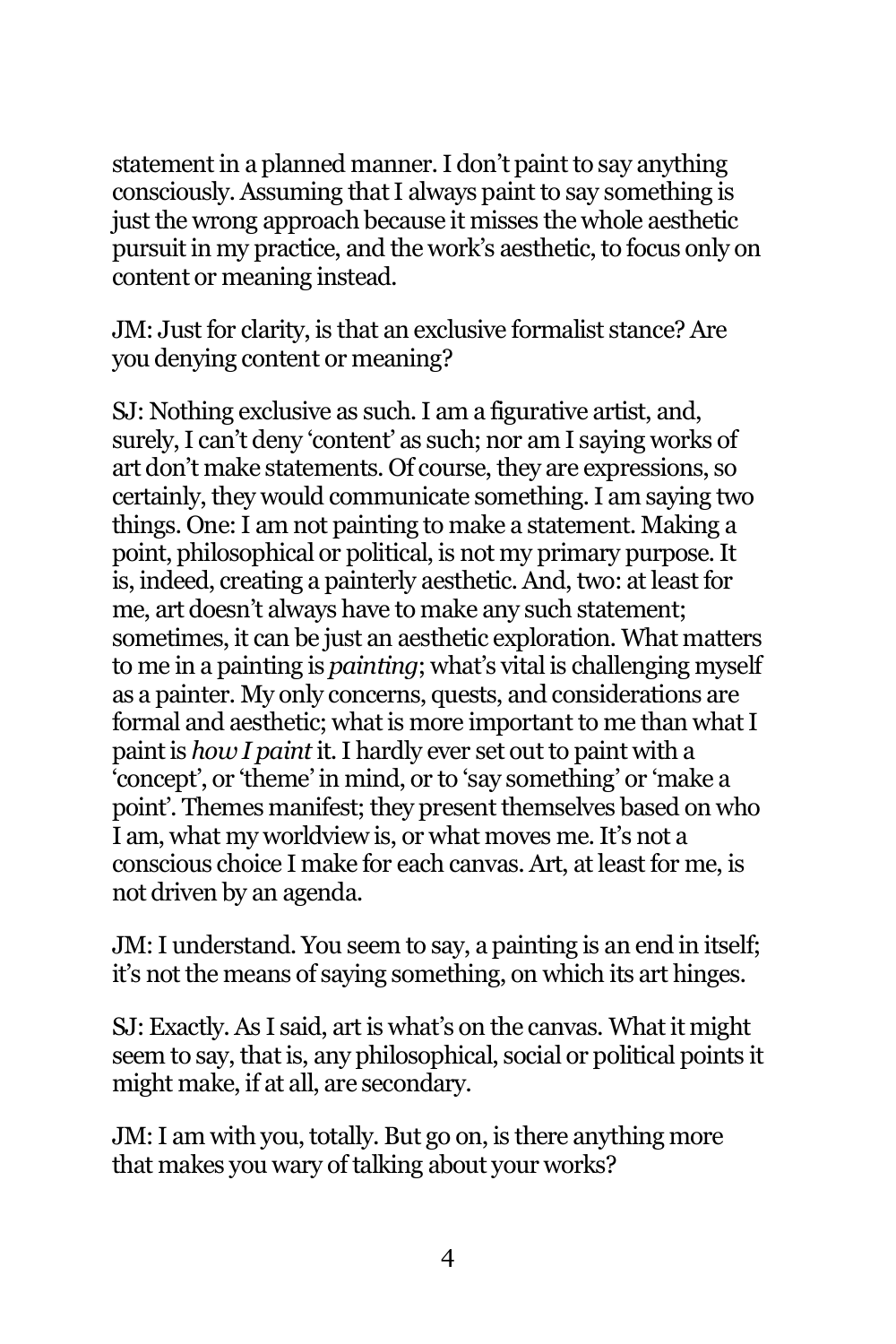statement in a planned manner. I don't paint to say anything consciously. Assuming that I always paint to say something is just the wrong approach because it misses the whole aesthetic pursuit in my practice, and the work's aesthetic, to focus only on content or meaning instead.

JM: Just for clarity, is that an exclusive formalist stance? Are you denying content or meaning?

SJ: Nothing exclusive as such. I am a figurative artist, and, surely, I can't deny 'content' as such; nor am I saying works of art don't make statements. Of course, they are expressions, so certainly, they would communicate something. I am saying two things. One: I am not painting to make a statement. Making a point, philosophical or political, is not my primary purpose. It is, indeed, creating a painterly aesthetic. And, two: at least for me, art doesn't always have to make any such statement; sometimes, it can be just an aesthetic exploration. What matters to me in a painting is *painting*; what's vital is challenging myself as a painter. My only concerns, quests, and considerations are formal and aesthetic; what is more important to me than what I paint is *how I paint*it. I hardly ever set out to paint with a 'concept', or 'theme' in mind, or to 'say something' or 'make a point'. Themes manifest; they present themselves based on who I am, what my worldview is, or what moves me. It's not a conscious choice I make for each canvas. Art, at least for me, is not driven by an agenda.

JM: I understand. You seem to say, a painting is an end in itself; it's not the means of saying something, on which its art hinges.

SJ: Exactly. As I said, art is what's on the canvas. What it might seem to say, that is, any philosophical, social or political points it might make, if at all, are secondary.

JM:I am with you, totally. But go on, is there anything more that makes you wary of talking about your works?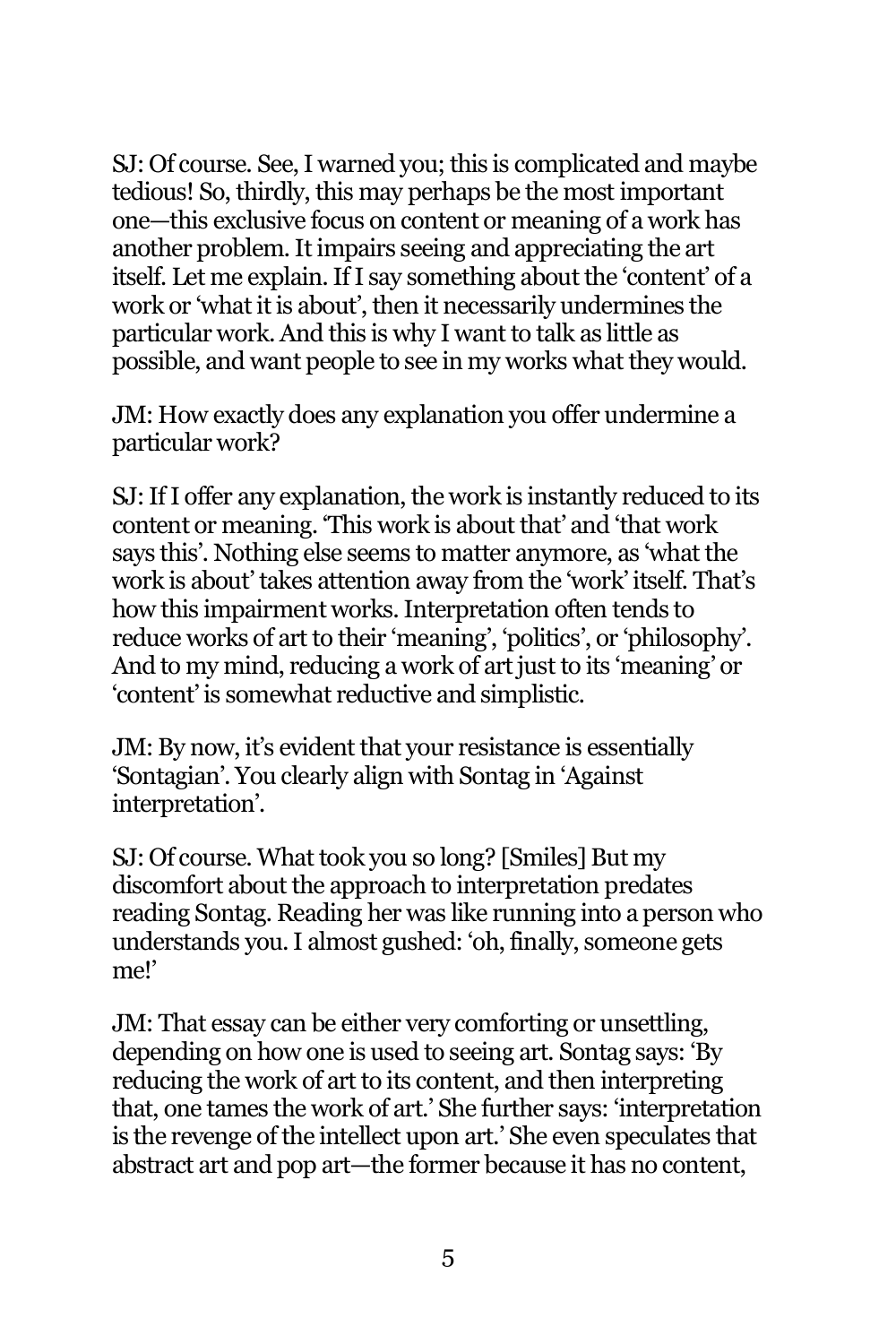SJ: Of course. See, I warned you; this is complicated and maybe tedious! So, thirdly, this may perhaps be the most important one—this exclusive focus on content or meaning of a work has another problem. It impairs seeing and appreciating the art itself. Let me explain. If I say something about the 'content' of a work or 'what it is about', then it necessarily undermines the particular work. And this is why I want to talk as little as possible, and want people to see in my works what they would.

JM: How exactly does any explanation you offer undermine a particular work?

SJ: If I offer any explanation, the work is instantly reduced to its content or meaning. 'This work is about that' and 'that work says this'. Nothing else seems to matter anymore, as 'what the work is about' takes attention away from the 'work' itself. That's how this impairment works. Interpretation often tends to reduce works of art to their 'meaning', 'politics', or 'philosophy'. And to my mind, reducing a work of art just to its 'meaning' or 'content' is somewhat reductive and simplistic.

JM: By now, it's evident that your resistance is essentially 'Sontagian'. You clearly align with Sontag in 'Against interpretation'.

SJ: Of course. What took you so long? [Smiles] But my discomfort about the approach to interpretation predates reading Sontag. Reading her was like running into a person who understands you. I almost gushed: 'oh, finally, someone gets me!'

JM: That essay can be either very comforting or unsettling, depending on how one is used to seeing art. Sontag says: 'By reducing the work of art to its content, and then interpreting that, one tames the work of art.' She further says: 'interpretation is the revenge of the intellect upon art.' She even speculates that abstract art and pop art—the former because it has no content,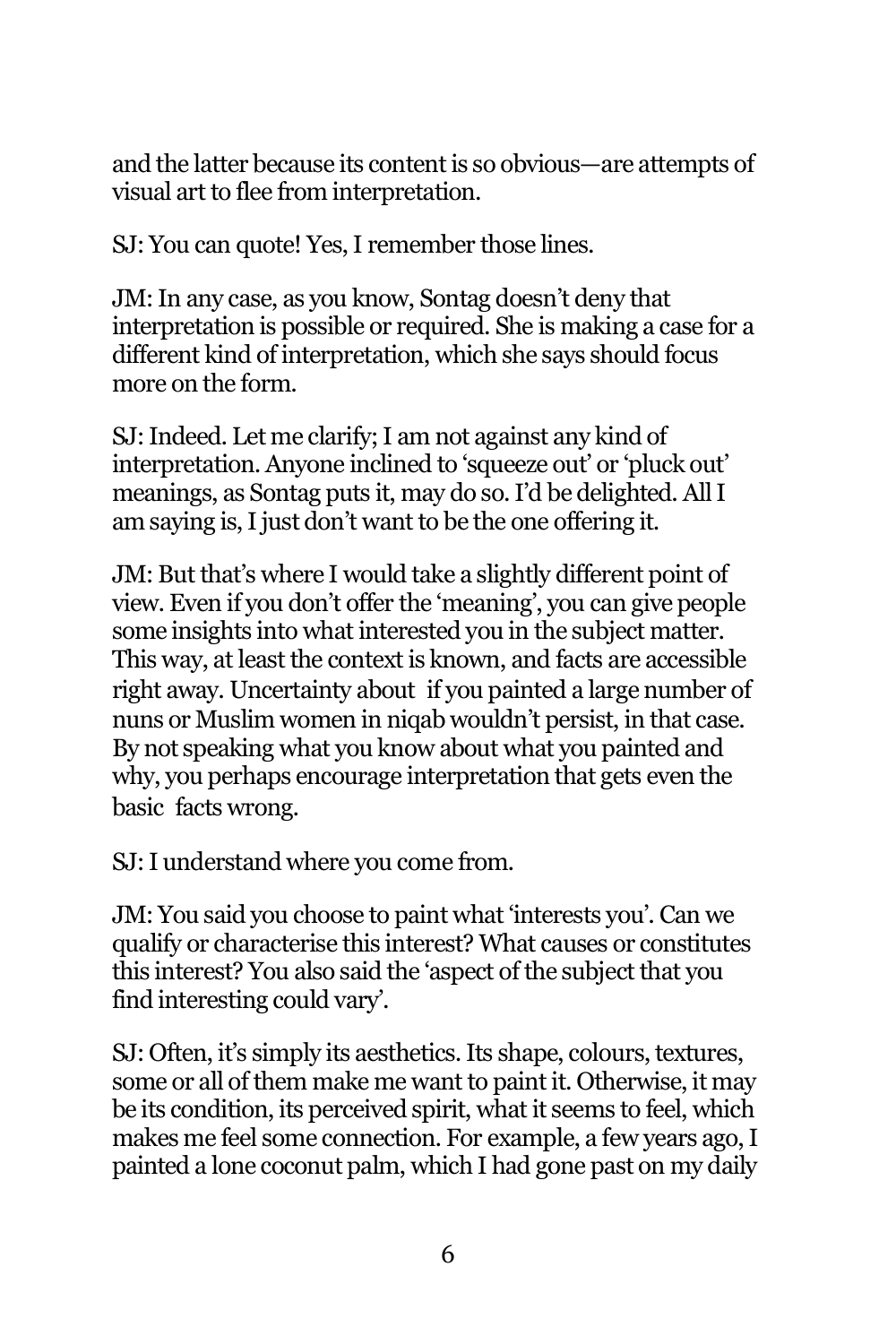and the latter because its content is so obvious—are attempts of visual art to flee from interpretation.

SJ: You can quote! Yes, I remember those lines.

JM: In any case, as you know, Sontag doesn't deny that interpretation is possible or required. She is making a case for a different kind of interpretation, which she says should focus more on the form.

SJ: Indeed. Let me clarify; I am not against any kind of interpretation. Anyone inclined to 'squeeze out' or 'pluck out' meanings, as Sontag puts it, may do so. I'd be delighted. All I am saying is, I just don't want to be the one offering it.

JM: But that's where I would take a slightly different point of view. Even if you don't offer the 'meaning', you can give people some insights into what interested you in the subject matter. This way, at least the context is known, and facts are accessible right away. Uncertainty about if you painted a large number of nuns or Muslim women in niqab wouldn't persist, in that case. By not speaking what you know about what you painted and why, you perhaps encourage interpretation that gets even the basic facts wrong.

SJ: I understand where you come from.

JM: You said you choose to paint what 'interests you'. Can we qualify or characterise this interest? What causes or constitutes this interest? You also said the 'aspect of the subject that you find interesting could vary'.

SJ: Often, it's simply its aesthetics. Its shape, colours, textures, some or all of them make me want to paint it. Otherwise, it may be its condition, its perceived spirit, what it seems to feel, which makes me feel some connection. For example, a few years ago, I painted a lone coconut palm, which I had gone past on my daily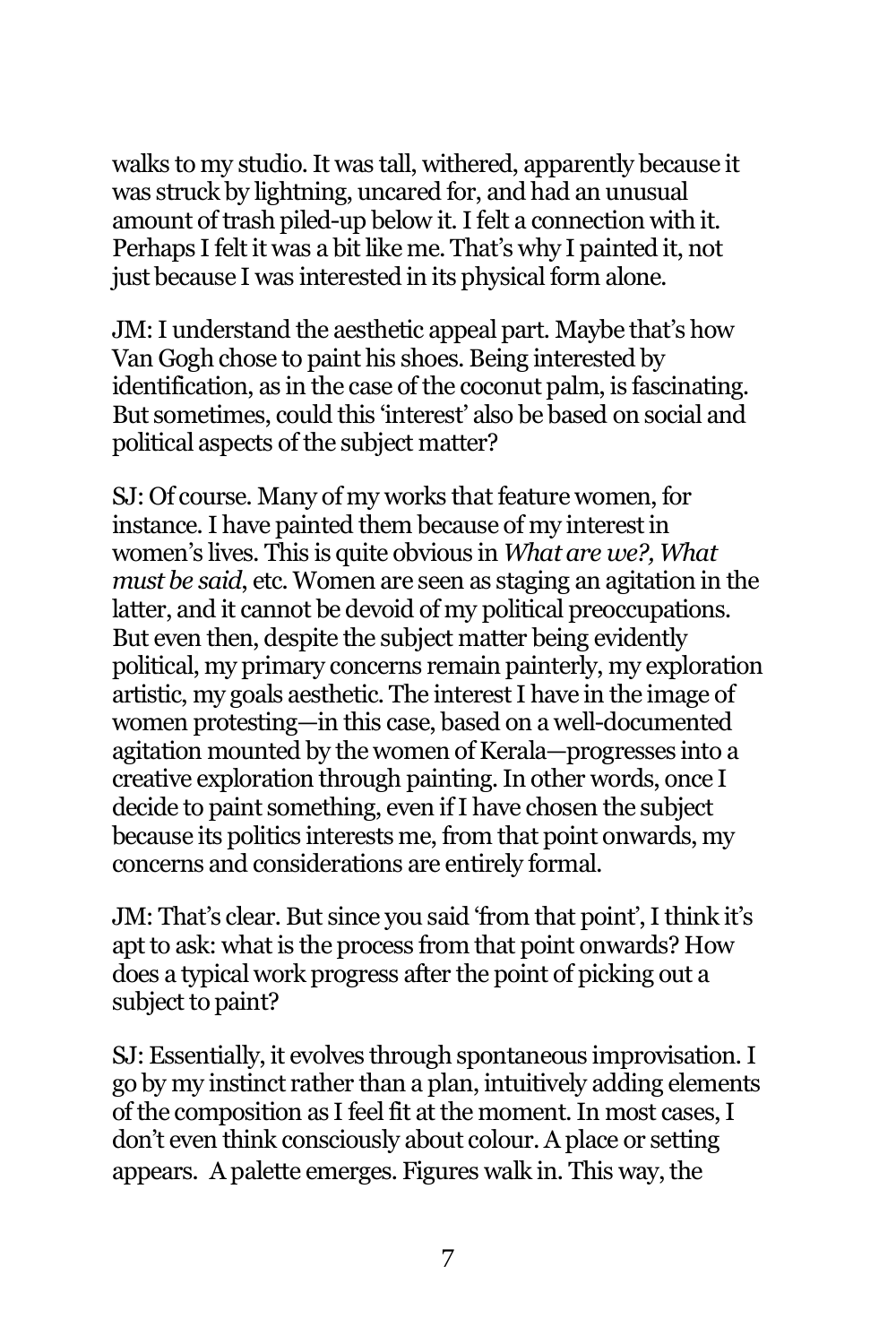walks to my studio. It was tall, withered, apparently because it was struck by lightning, uncared for, and had an unusual amount of trash piled-up below it. I felt a connection with it. Perhaps I felt it was a bit like me. That's why I painted it, not just because I was interested in its physical form alone.

JM: I understand the aesthetic appeal part. Maybe that's how Van Gogh chose to paint his shoes. Being interested by identification, as in the case of the coconut palm, is fascinating. But sometimes, could this 'interest' also be based on social and political aspects of the subject matter?

SJ: Of course. Many of my works that feature women, for instance. I have painted them because of my interest in women's lives. This is quite obvious in *What are we?, What must be said*, etc. Women are seen as staging an agitation in the latter, and it cannot be devoid of my political preoccupations. But even then, despite the subject matter being evidently political, my primary concerns remain painterly, my exploration artistic, my goals aesthetic. The interest I have in the image of women protesting—in this case, based on a well-documented agitation mounted by the women of Kerala—progresses into a creative exploration through painting. In other words, once I decide to paint something, even if I have chosen the subject because its politics interests me, from that point onwards, my concerns and considerations are entirely formal.

JM: That's clear. But since you said 'from that point', I think it's apt to ask: what is the process from that point onwards? How does a typical work progress after the point of picking out a subject to paint?

SJ: Essentially, it evolves through spontaneous improvisation. I go by my instinct rather than a plan, intuitively adding elements of the composition as I feel fit at the moment. In most cases, I don't even think consciously about colour. A place or setting appears. A palette emerges. Figures walk in. This way,the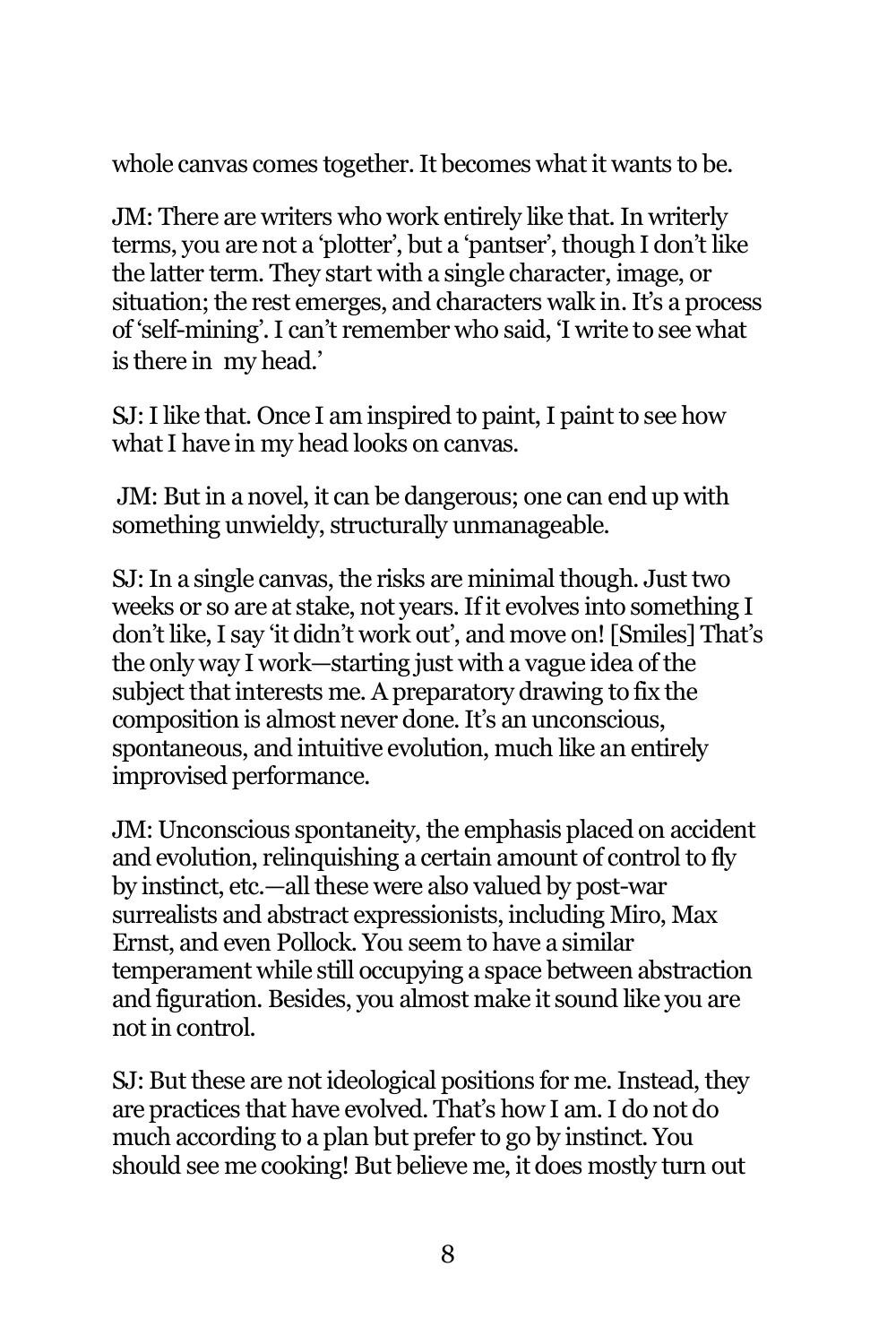whole canvas comes together. It becomes what it wants to be.

JM: There are writers who work entirely like that. In writerly terms, you are not a 'plotter', but a 'pantser', though I don't like the latter term. They start with a single character, image, or situation; the rest emerges, and characters walk in. It's a process of 'self-mining'. I can't remember who said, 'I write to see what is there in my head.'

SJ: I like that. Once I am inspired to paint, I paint to see how what I have in my head looks on canvas.

JM: But in a novel, it can be dangerous; one can end up with something unwieldy, structurally unmanageable.

SJ: In a single canvas, the risks are minimal though. Just two weeks or so are at stake, not years. If it evolves into something I don't like, I say 'it didn't work out', and move on! [Smiles] That's the only way I work—starting just with a vague idea of the subject that interests me. A preparatory drawing to fix the composition is almost never done. It's an unconscious, spontaneous, and intuitive evolution, much like an entirely improvised performance.

JM: Unconscious spontaneity, the emphasis placed on accident and evolution, relinquishing a certain amount of control to fly by instinct, etc.—all these were also valued by post-war surrealists and abstract expressionists, including Miro, Max Ernst, and even Pollock. You seem to have a similar temperament while still occupying a space between abstraction and figuration. Besides, you almost make it sound like you are not in control.

SJ: But these are not ideological positions for me. Instead, they are practices that have evolved. That's how I am. I do not do much according to a plan but prefer to go by instinct. You should see me cooking! But believe me, it does mostly turn out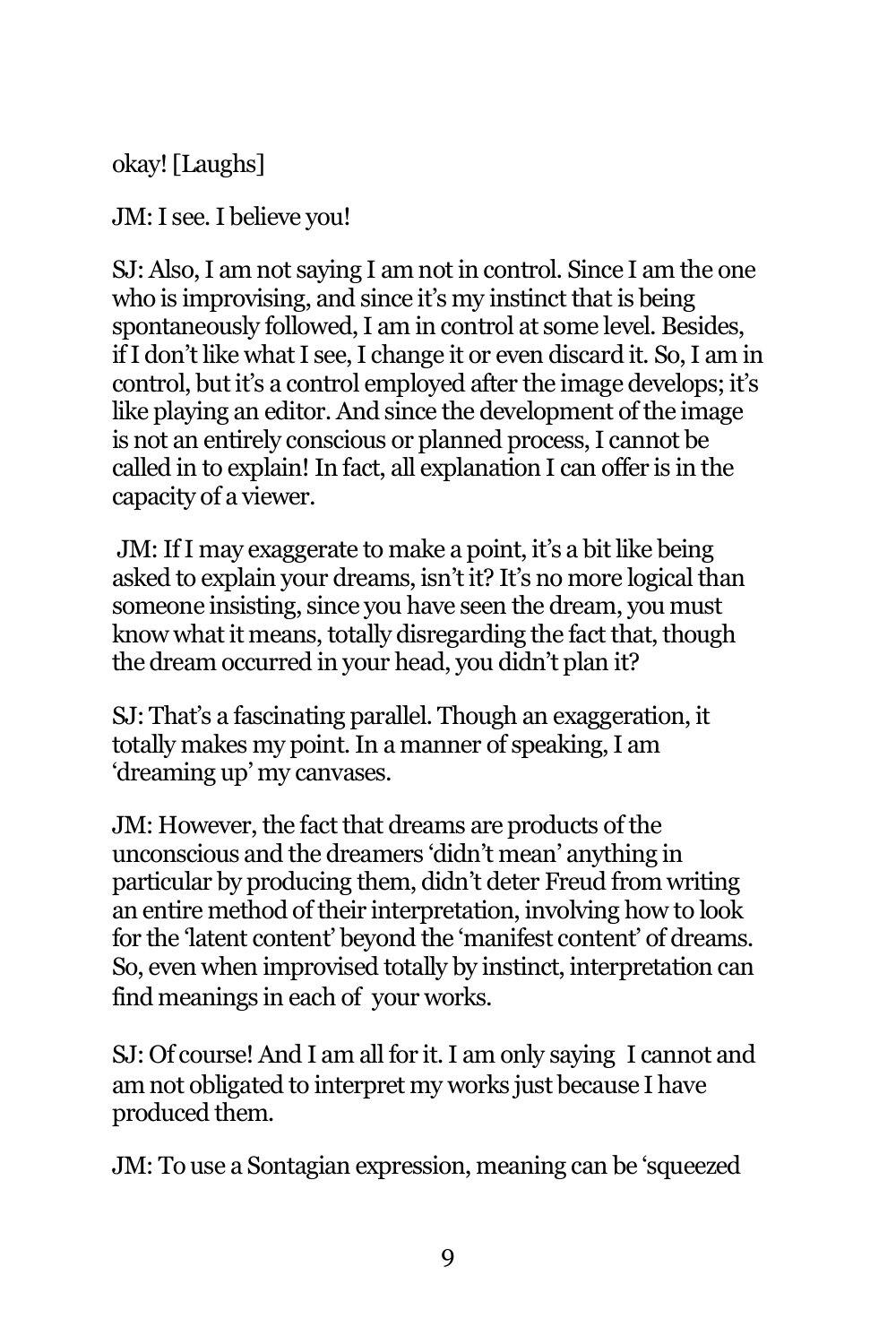okay! [Laughs]

JM: I see. I believe you!

SJ: Also, I am not saying I am not in control. Since I am the one who is improvising, and since it's my instinct that is being spontaneously followed, I am in control at some level. Besides, if I don't like what I see, I change it or even discard it. So, I am in control, but it's a control employed after the image develops; it's like playing an editor. And since the development of the image is not an entirely conscious or planned process, I cannot be called in to explain! In fact, all explanation I can offer is in the capacity of a viewer.

JM: If I may exaggerate to make a point, it's a bit like being asked to explain your dreams, isn't it? It's no more logical than someone insisting, since you have seen the dream, you must know what it means, totally disregarding the fact that, though the dream occurred in your head, you didn't plan it?

SJ: That's a fascinating parallel. Though an exaggeration, it totally makes my point. In a manner of speaking, I am 'dreaming up' my canvases.

JM: However, the fact that dreams are products of the unconscious and the dreamers 'didn't mean' anything in particular by producing them, didn't deter Freud from writing an entire method of their interpretation, involving how to look for the 'latent content' beyond the 'manifest content' of dreams. So, even when improvised totally by instinct, interpretation can find meanings in each of your works.

SJ: Of course! And I am all for it. I am only saying I cannot and am not obligated to interpret my works just because I have produced them.

JM: To use a Sontagian expression, meaning can be 'squeezed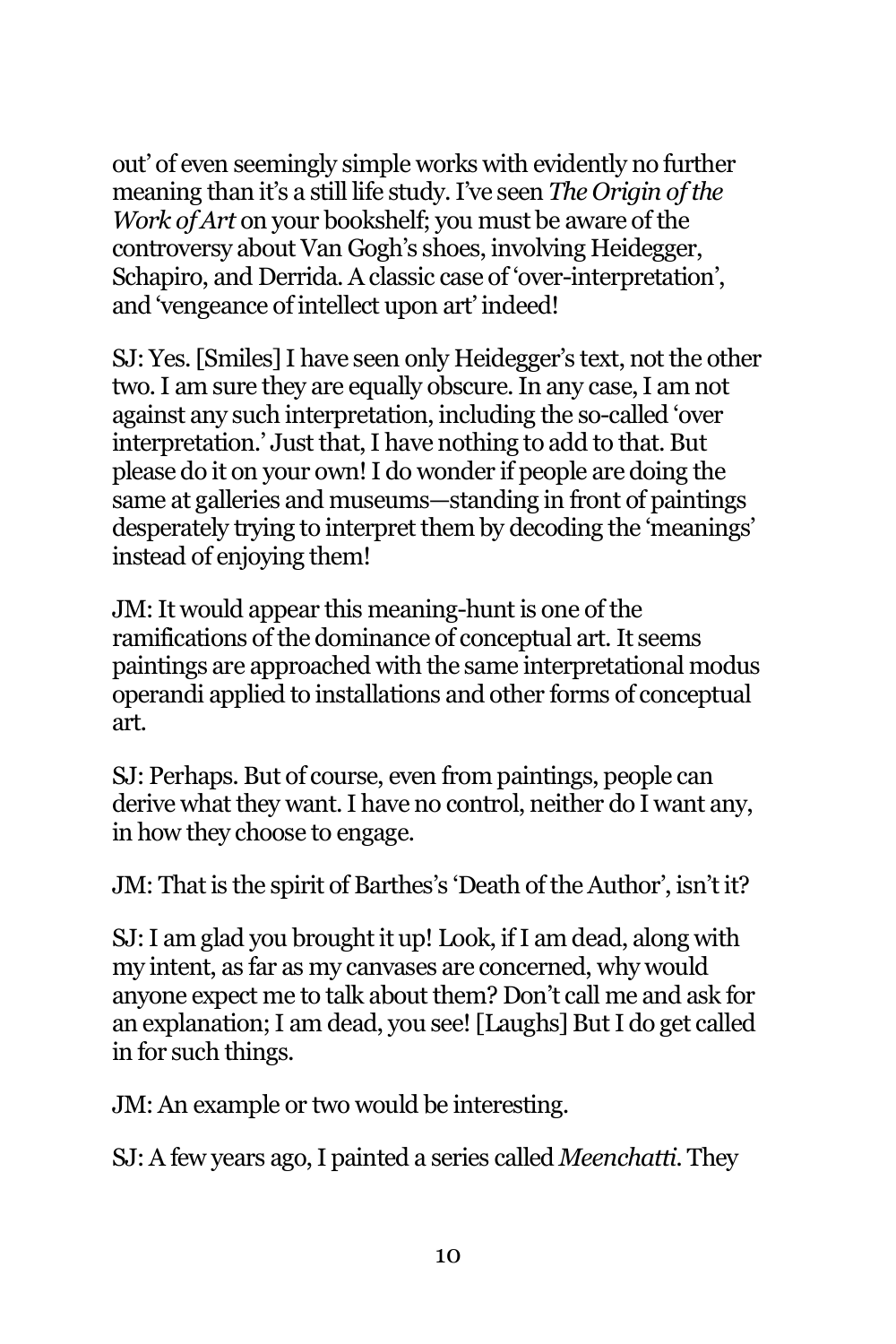out' of even seemingly simple works with evidently no further meaning than it's a still life study. I've seen *The Origin of the Work of Art* on your bookshelf; you must be aware of the controversy about Van Gogh's shoes, involving Heidegger, Schapiro, and Derrida. A classic case of 'over-interpretation', and 'vengeance of intellect upon art' indeed!

SJ: Yes. [Smiles] I have seen only Heidegger's text, not the other two. I am sure they are equally obscure. In any case, I am not against any such interpretation, including the so-called 'over interpretation.' Just that, I have nothing to add to that. But please do it on your own! I do wonder if people are doing the same at galleries and museums—standing in front of paintings desperately trying to interpret them by decoding the 'meanings' instead of enjoying them!

JM: It would appear this meaning-hunt is one of the ramifications of the dominance of conceptual art. It seems paintings are approached with the same interpretational modus operandi applied to installations and other forms of conceptual art.

SJ: Perhaps. But of course, even from paintings, people can derive what they want. I have no control, neither do I want any, in how they choose to engage.

JM: That is the spirit of Barthes's 'Death of the Author', isn't it?

SJ: I am glad you brought it up! Look, if I am dead, along with my intent, as far as my canvases are concerned, why would anyone expect me to talk about them? Don't call me and ask for an explanation; I am dead, you see! [Laughs] But I do get called in for such things.

JM: An example or two would be interesting.

SJ: A few years ago, I painted a series called *Meenchatti*. They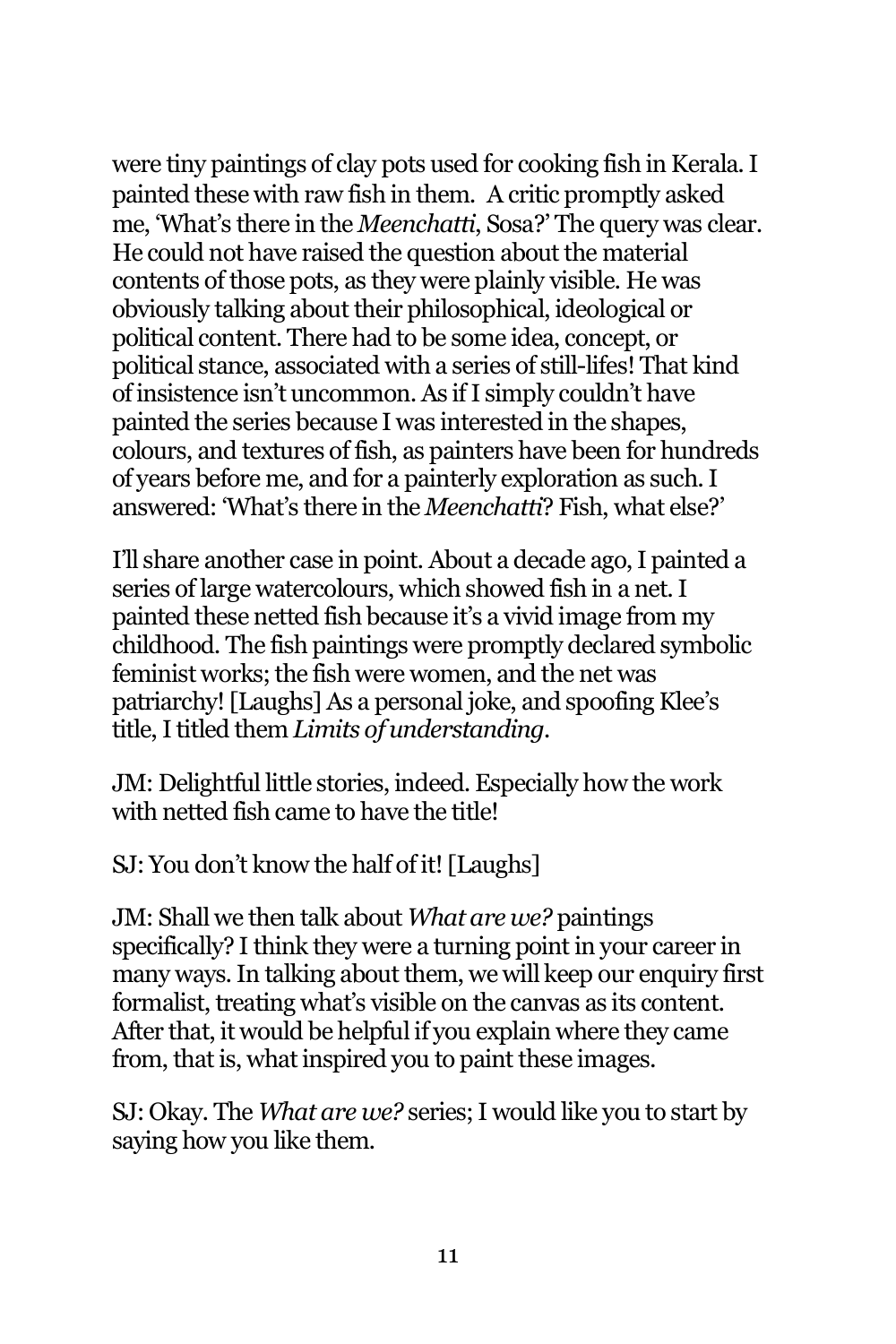were tiny paintings of clay pots used for cooking fish in Kerala. I painted these with raw fish in them. A critic promptly asked me, 'What's there in the *Meenchatti*, Sosa?' The query was clear. He could not have raised the question about the material contents of those pots, as they were plainly visible. He was obviously talking about their philosophical, ideological or political content. There had to be some idea, concept, or political stance, associated with a series of still-lifes! That kind of insistence isn't uncommon. As if I simply couldn't have painted the series because I was interested in the shapes, colours, and textures of fish, as painters have been for hundreds of years before me, and for a painterly exploration as such. I answered: 'What's there in the *Meenchatti*? Fish, what else?'

I'll share another case in point. About a decade ago, I painted a series of large watercolours, which showed fish in a net. I painted these netted fish because it's a vivid image from my childhood. The fish paintings were promptly declared symbolic feminist works; the fish were women, and the net was patriarchy! [Laughs] As a personal joke, and spoofing Klee's title, I titled them *Limits of understanding.* 

JM: Delightful little stories, indeed. Especially how the work with netted fish came to have the title!

SJ: You don't know the half of it! [Laughs]

JM: Shall we then talk about *What are we?* paintings specifically? I think they were a turning point in your career in many ways. In talking about them, we will keep our enquiry first formalist, treating what's visible on the canvas as its content. After that, it would be helpful if you explain where they came from, that is, what inspired you to paint these images.

SJ: Okay. The *What are we?* series; I would like you to start by saying how you like them.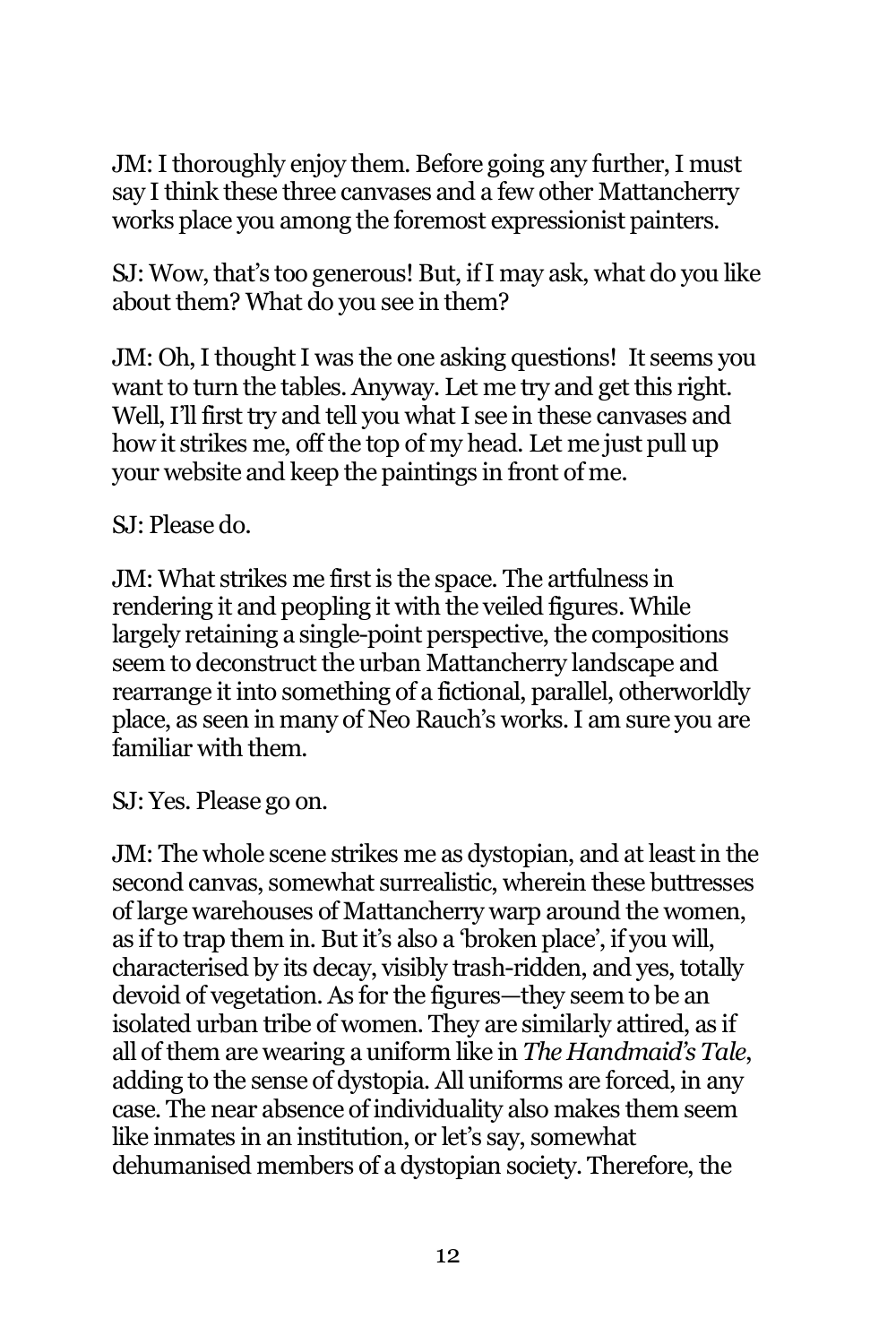JM: I thoroughly enjoy them. Before going any further, I must say I think these three canvases and a few other Mattancherry works place you among the foremost expressionist painters.

SJ: Wow, that's too generous! But, if I may ask, what do you like about them? What do you see in them?

JM: Oh, I thought I was the one asking questions! It seems you want to turn the tables. Anyway. Let me try and get this right. Well, I'll first try and tell you what I see in these canvases and how it strikes me, off the top of my head. Let me just pull up your website and keep the paintings in front of me.

SJ: Please do.

JM: What strikes me first is the space. The artfulness in rendering it and peopling it with the veiled figures. While largely retaining a single-point perspective, the compositions seem to deconstruct the urban Mattancherry landscape and rearrange it into something of a fictional, parallel, otherworldly place, as seen in many of Neo Rauch's works. I am sure you are familiar with them.

SJ: Yes. Please go on.

JM: The whole scene strikes me as dystopian, and at least in the second canvas, somewhat surrealistic, wherein these buttresses of large warehouses of Mattancherry warp around the women, as if to trap them in. But it's also a 'broken place', if you will, characterised by its decay, visibly trash-ridden, and yes, totally devoid of vegetation. As for the figures—they seem to be an isolated urban tribe of women. They are similarly attired, as if all of them are wearing a uniform like in *The Handmaid's Tale*, adding to the sense of dystopia. All uniforms are forced, in any case. The near absence of individuality also makes them seem like inmates in an institution, or let's say, somewhat dehumanised members of a dystopian society. Therefore, the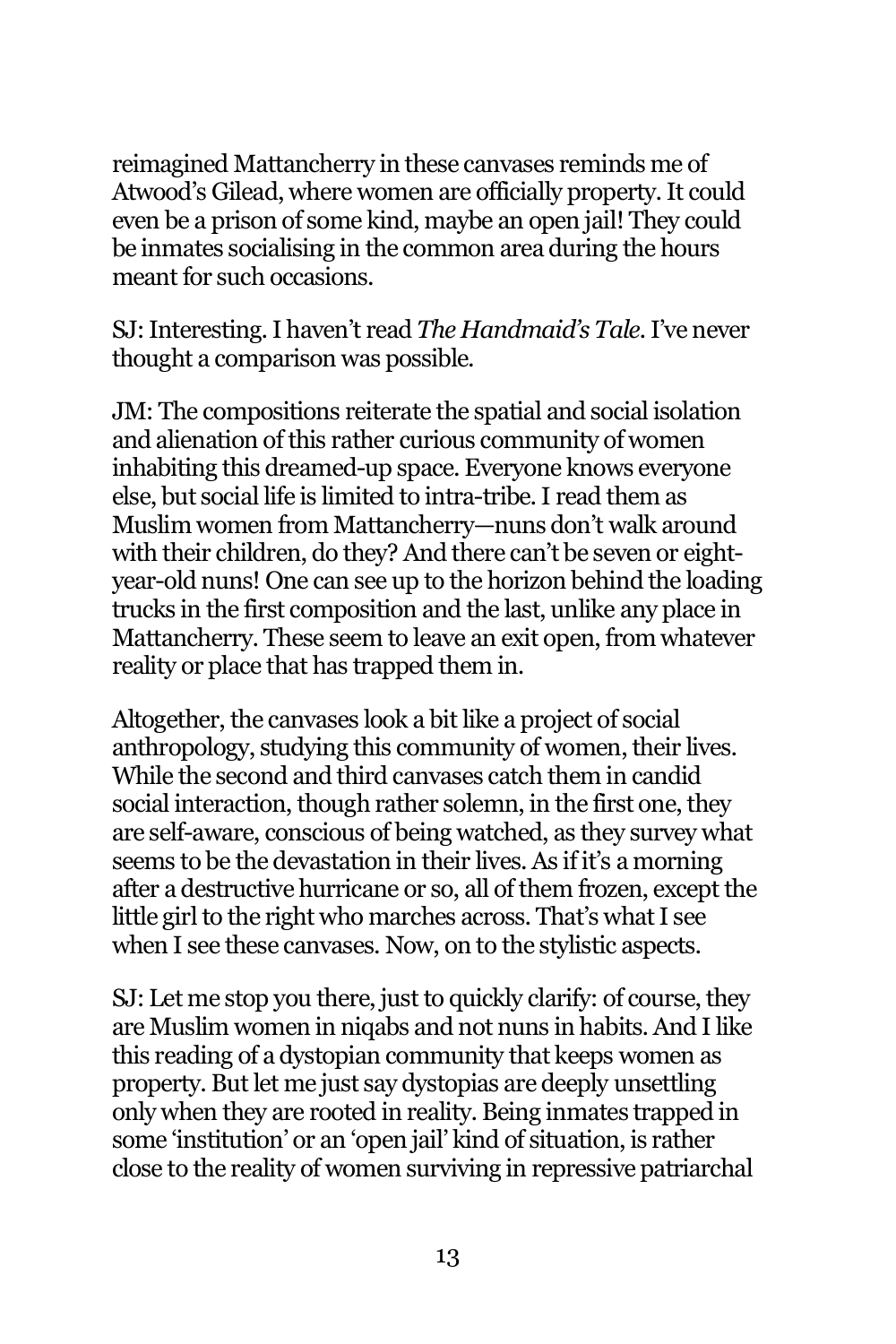reimagined Mattancherry in these canvases reminds me of Atwood's Gilead, where women are officially property. It could even be a prison of some kind, maybe an open jail! They could be inmates socialising in the common area during the hours meant for such occasions.

SJ: Interesting. I haven't read *The Handmaid's Tale.* I've never thought a comparison was possible.

JM: The compositions reiterate the spatial and social isolation and alienation of this rather curious community of women inhabiting this dreamed-up space. Everyone knows everyone else, but social life is limited to intra-tribe. I read them as Muslim women from Mattancherry—nuns don't walk around with their children, do they? And there can't be seven or eightyear-old nuns! One can see up to the horizon behind the loading trucks in the first composition and the last, unlike any place in Mattancherry. These seem to leave an exit open, from whatever reality or place that has trapped them in.

Altogether, the canvases look a bit like a project of social anthropology, studying this community of women, their lives. While the second and third canvases catch them in candid social interaction, though rather solemn, in the first one, they are self-aware, conscious of being watched, as they survey what seems to be the devastation in their lives. As if it's a morning after a destructive hurricane or so, all of them frozen, except the little girl to the right who marches across. That's what I see when I see these canvases. Now, on to the stylistic aspects.

SJ: Let me stop you there, just to quickly clarify: of course, they are Muslim women in niqabs and not nuns in habits. And I like this reading of a dystopian community that keeps women as property. But let me just say dystopias are deeply unsettling only when they are rooted in reality. Being inmates trapped in some 'institution' or an 'open jail' kind of situation, is rather close to the reality of women surviving in repressive patriarchal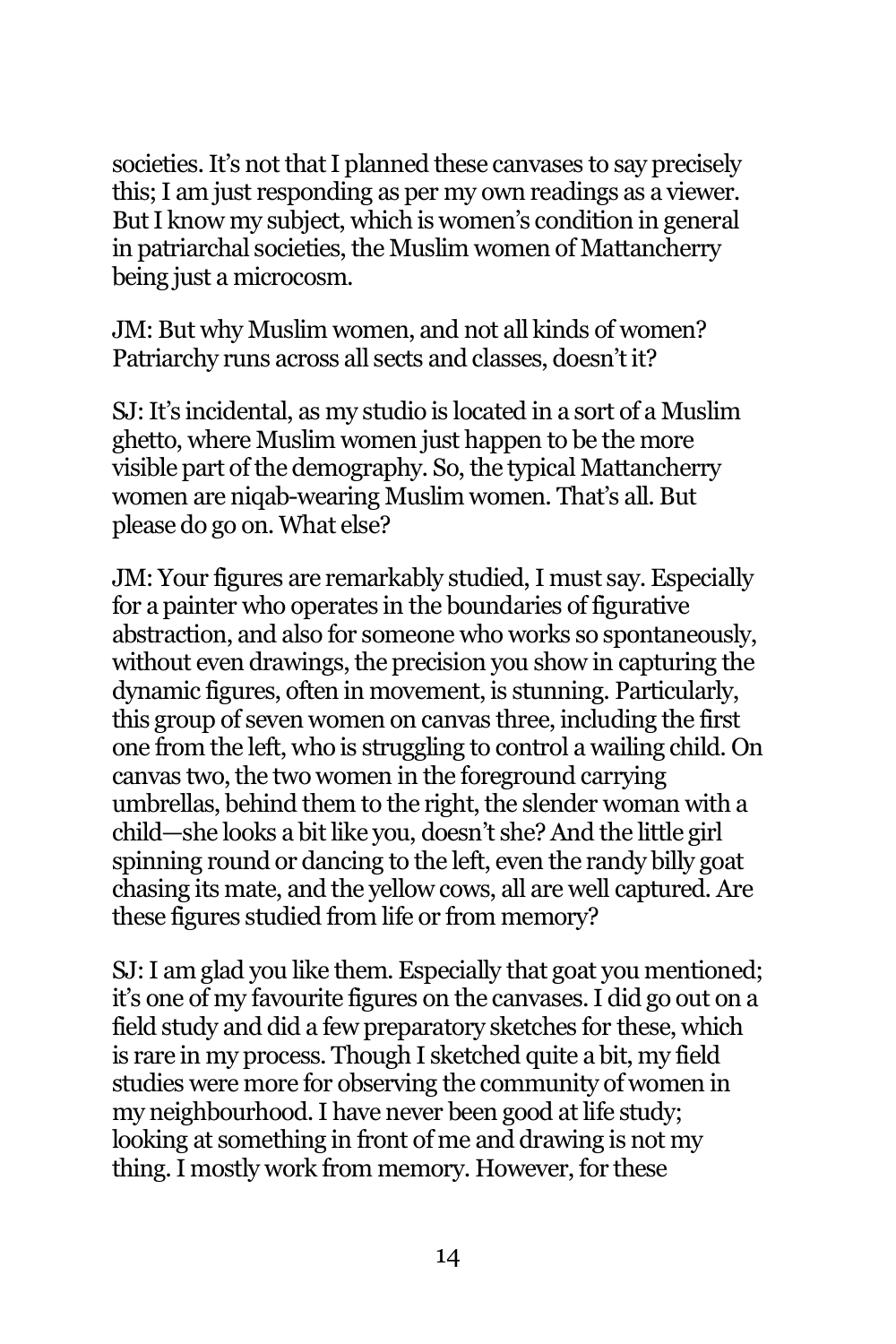societies. It's not that I planned these canvases to say precisely this; I am just responding as per my own readings as a viewer. But I know my subject, which is women's condition in general in patriarchal societies, the Muslim women of Mattancherry being just a microcosm.

JM: But why Muslim women, and not all kinds of women? Patriarchy runs across all sects and classes, doesn't it?

SJ: It's incidental, as my studio is located in a sort of a Muslim ghetto, where Muslim women just happen to be the more visible part of the demography. So, the typical Mattancherry women are niqab-wearing Muslim women. That's all. But please do go on. What else?

JM: Your figures are remarkably studied, I must say. Especially for a painter who operates in the boundaries of figurative abstraction, and also for someone who works so spontaneously, without even drawings, the precision you show in capturing the dynamic figures, often in movement, is stunning. Particularly, this group of seven women on canvas three, including the first one from the left, who is struggling to control a wailing child. On canvas two, the two women in the foreground carrying umbrellas, behind them to the right, the slender woman with a child—she looks a bit like you, doesn't she? And the little girl spinning round or dancing to the left, even the randy billy goat chasing its mate, and the yellow cows, all are well captured. Are these figures studied from life or from memory?

SJ: I am glad you like them. Especially that goat you mentioned; it's one of my favourite figures on the canvases. I did go out on a field study and did a few preparatory sketches for these, which is rare in my process. Though I sketched quite a bit, my field studies were more for observing the community of women in my neighbourhood. I have never been good at life study; looking at something in front of me and drawing is not my thing. I mostly work from memory. However, for these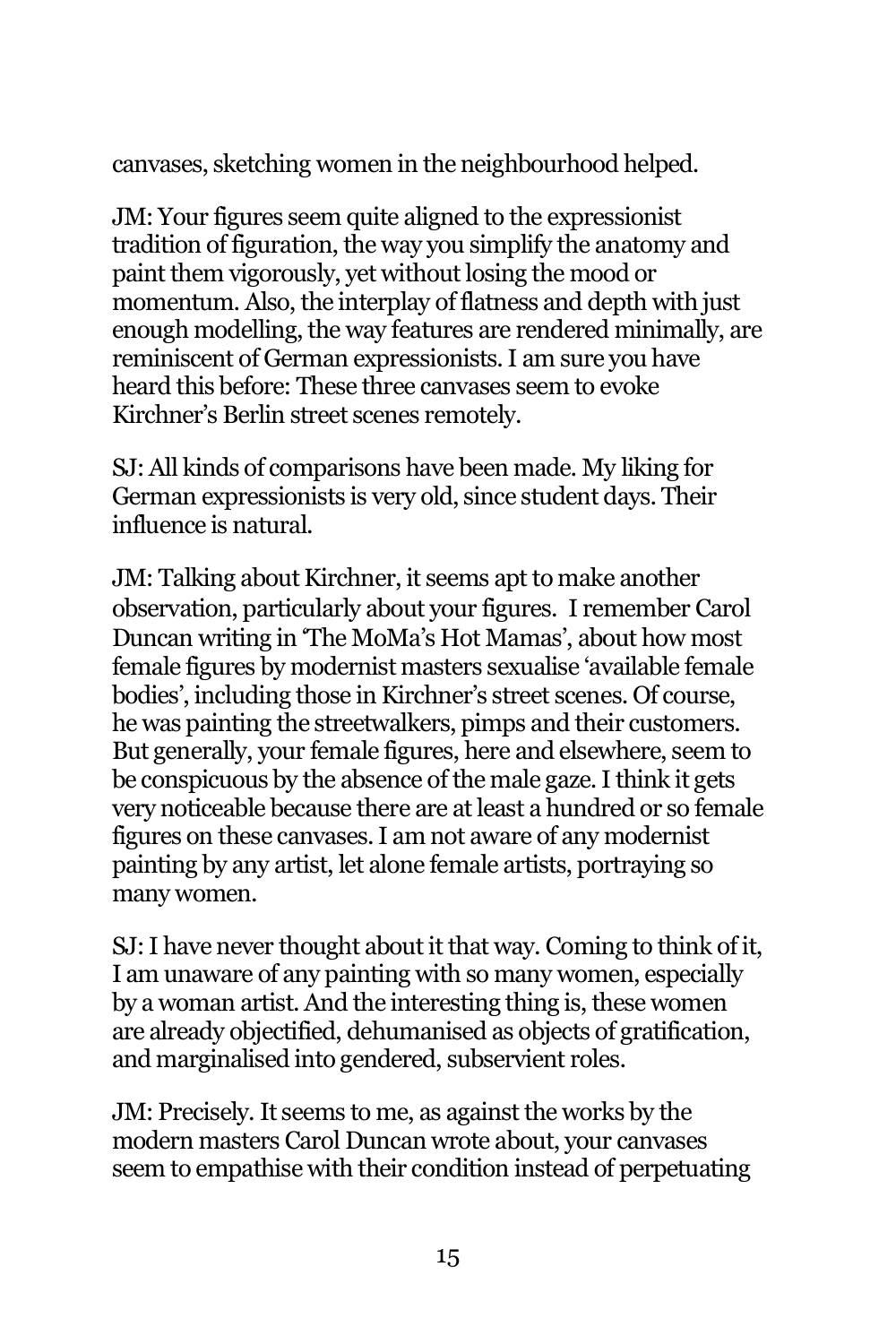canvases, sketching women in the neighbourhood helped.

JM: Your figures seem quite aligned to the expressionist tradition of figuration, the way you simplify the anatomy and paint them vigorously, yet without losing the mood or momentum. Also, the interplay of flatness and depth with just enough modelling, the way features are rendered minimally, are reminiscent of German expressionists. I am sure you have heard this before: These three canvases seem to evoke Kirchner's Berlin street scenes remotely.

SJ: All kinds of comparisons have been made. My liking for German expressionists is very old, since student days. Their influence is natural.

JM: Talking about Kirchner, it seems apt to make another observation, particularly about your figures. I remember Carol Duncan writing in 'The MoMa's Hot Mamas', about how most female figures by modernist masters sexualise 'available female bodies', including those in Kirchner's street scenes. Of course, he was painting the streetwalkers, pimps and their customers. But generally, your female figures, here and elsewhere, seem to be conspicuous by the absence of the male gaze. I think it gets very noticeable because there are at least a hundred or so female figures on these canvases. I am not aware of any modernist painting by any artist, let alone female artists, portraying so many women.

SJ: I have never thought about it that way. Coming to think of it, I am unaware of any painting with so many women, especially by a woman artist. And the interesting thing is, these women are already objectified, dehumanised as objects of gratification, and marginalised into gendered, subservient roles.

JM: Precisely. It seems to me, as against the works by the modern masters Carol Duncan wrote about, your canvases seem to empathise with their condition instead of perpetuating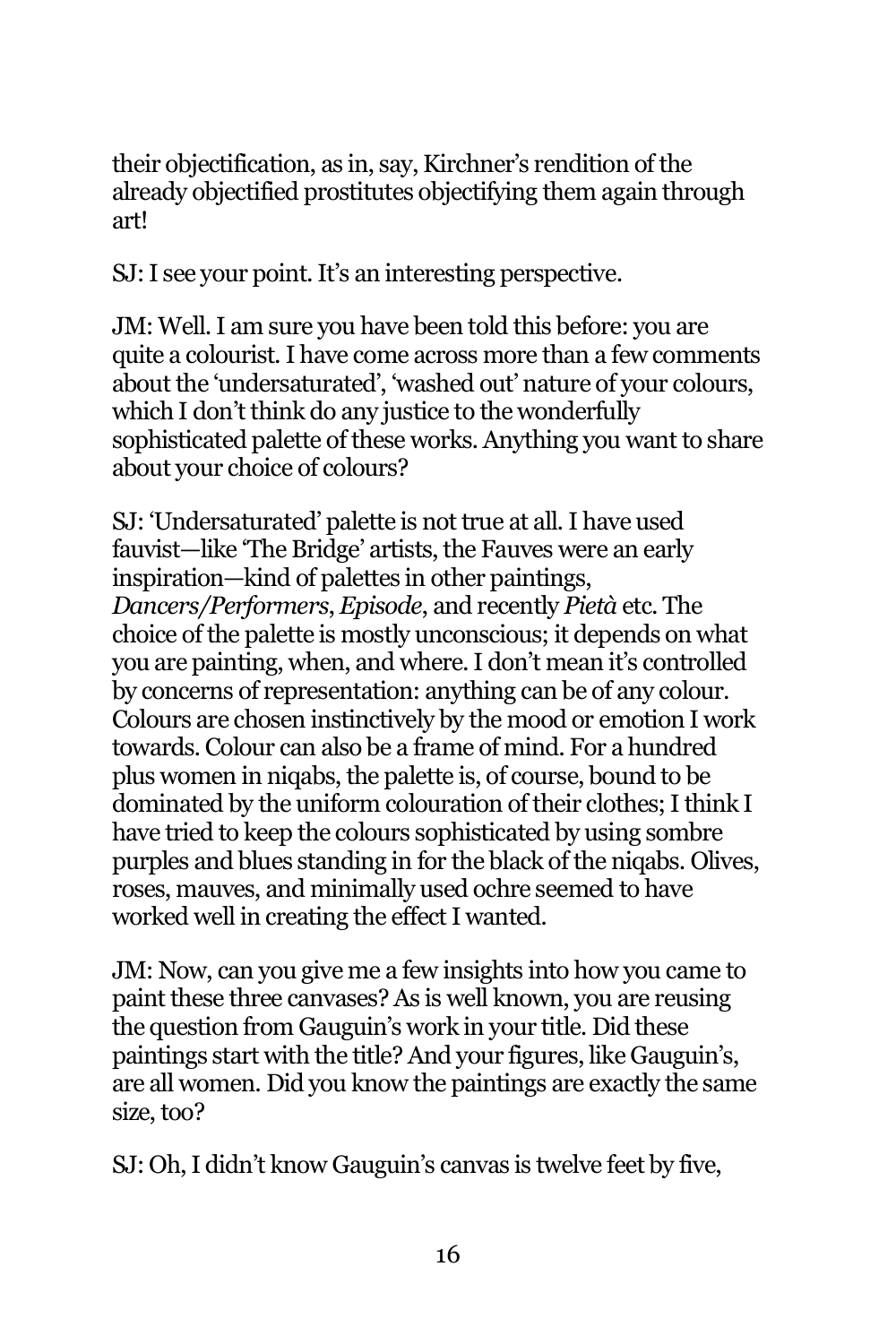their objectification, as in, say, Kirchner's rendition of the already objectified prostitutes objectifying them again through art!

SJ: I see your point. It's an interesting perspective.

JM: Well. I am sure you have been told this before: you are quite a colourist. I have come across more than a few comments about the 'undersaturated', 'washed out' nature of your colours, which I don't think do any justice to the wonderfully sophisticated palette of these works. Anything you want to share about your choice of colours?

SJ: 'Undersaturated' palette is not true at all. I have used fauvist—like 'The Bridge' artists, the Fauves were an early inspiration—kind of palettes in other paintings, *Dancers/Performers*, *Episode*, and recently *Pietà* etc. The choice of the palette is mostly unconscious; it depends on what you are painting, when, and where. I don't mean it's controlled by concerns of representation: anything can be of any colour. Colours are chosen instinctively by the mood or emotion I work towards. Colour can also be a frame of mind. For a hundred plus women in niqabs, the palette is, of course, bound to be dominated by the uniform colouration of their clothes; I think I have tried to keep the colours sophisticated by using sombre purples and blues standing in for the black of the niqabs. Olives, roses, mauves, and minimally used ochre seemed to have worked well in creating the effect I wanted.

JM: Now, can you give me a few insights into how you came to paint these three canvases? As is well known, you are reusing the question from Gauguin's work in your title. Did these paintings start with the title? And your figures, like Gauguin's, are all women. Did you know the paintings are exactly the same size, too?

SJ: Oh, I didn't know Gauguin's canvas is twelve feet by five,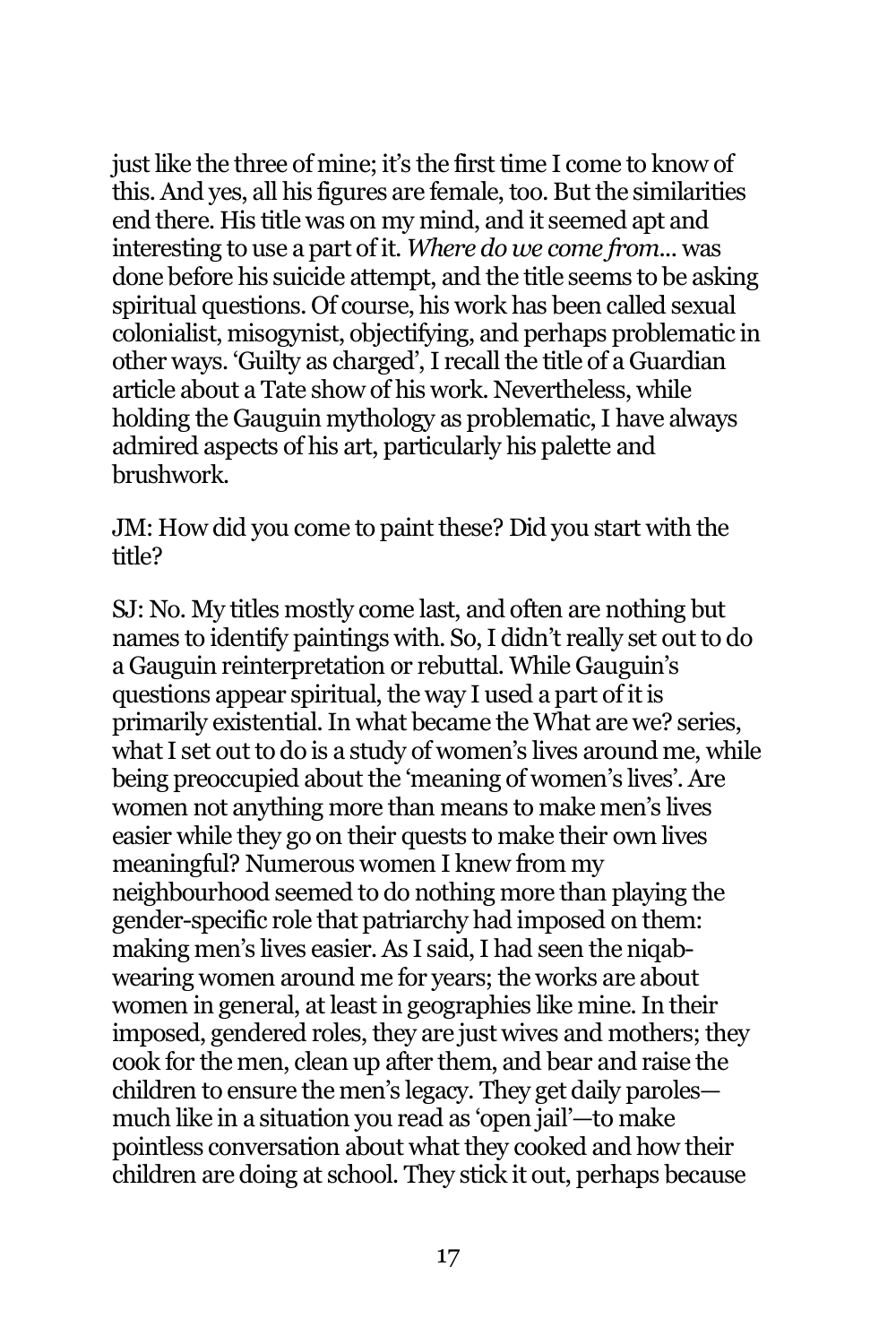just like the three of mine; it's the first time I come to know of this. And yes, all his figures are female, too. But the similarities end there. His title was on my mind, and it seemed apt and interesting to use a part of it. *Where do we come from...* was done before his suicide attempt, and the title seems to be asking spiritual questions. Of course, his work has been called sexual colonialist, misogynist, objectifying, and perhaps problematic in other ways. 'Guilty as charged', I recall the title of a Guardian article about a Tate show of his work. Nevertheless, while holding the Gauguin mythology as problematic, I have always admired aspects of his art, particularly his palette and brushwork.

JM: How did you come to paint these? Did you start with the title?

SJ: No. My titles mostly come last, and often are nothing but names to identify paintings with. So, I didn't really set out to do a Gauguin reinterpretation or rebuttal. While Gauguin's questions appear spiritual, the way I used a part of it is primarily existential. In what became the What are we? series, what I set out to do is a study of women's lives around me, while being preoccupied about the 'meaning of women's lives'. Are women not anything more than means to make men's lives easier while they go on their quests to make their own lives meaningful? Numerous women I knew from my neighbourhood seemed to do nothing more than playing the gender-specific role that patriarchy had imposed on them: making men's lives easier. As I said, I had seen the niqabwearing women around me for years; the works are about women in general, at least in geographies like mine. In their imposed, gendered roles, they are just wives and mothers; they cook for the men, clean up after them, and bear and raise the children to ensure the men's legacy. They get daily paroles much like in a situation you read as 'open jail'—to make pointless conversation about what they cooked and how their children are doing at school. They stick it out, perhaps because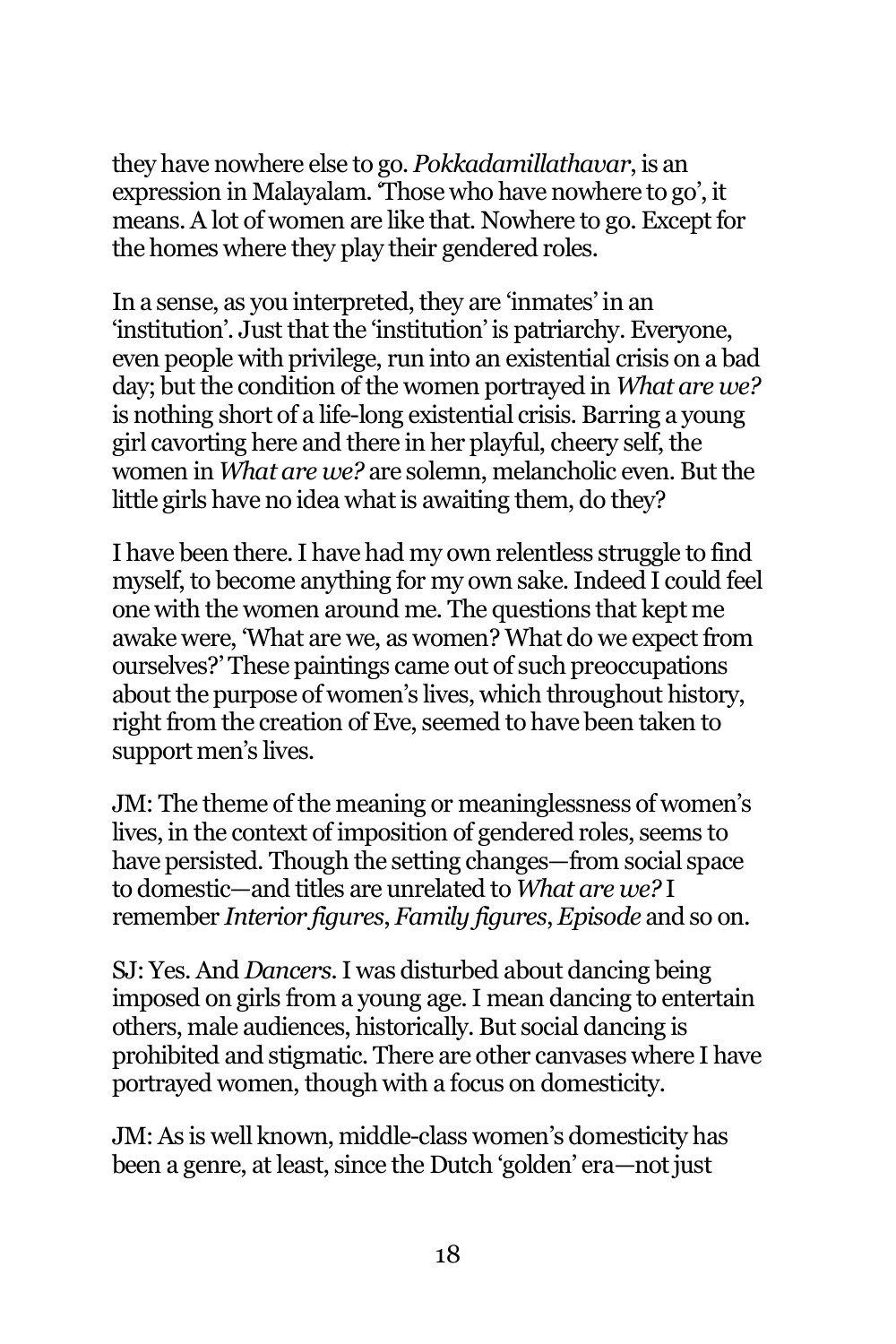they have nowhere else to go. *Pokkadamillathavar*, is an expression in Malayalam. 'Those who have nowhere to go', it means. A lot of women are like that. Nowhere to go. Except for the homes where they play their gendered roles.

In a sense, as you interpreted, they are 'inmates' in an 'institution'. Just that the 'institution' is patriarchy. Everyone, even people with privilege, run into an existential crisis on a bad day; but the condition of the women portrayed in *What are we?* is nothing short of a life-long existential crisis. Barring a young girl cavorting here and there in her playful, cheery self, the women in *What are we?* are solemn, melancholic even. But the little girls have no idea what is awaiting them, do they?

I have been there. I have had my own relentless struggle to find myself, to become anything for my own sake. Indeed I could feel one with the women around me. The questions that kept me awake were, 'What are we, as women? What do we expect from ourselves?' These paintings came out of such preoccupations about the purpose of women's lives, which throughout history, right from the creation of Eve, seemed to have been taken to support men's lives.

JM: The theme of the meaning or meaninglessness of women's lives, in the context of imposition of gendered roles, seems to have persisted. Though the setting changes—from social space to domestic—and titles are unrelated to *What are we?* I remember *Interior figures*, *Family figures*, *Episode* and so on.

SJ: Yes. And *Dancers*.I was disturbed about dancing being imposed on girls from a young age. I mean dancing to entertain others, male audiences, historically. But social dancing is prohibited and stigmatic. There are other canvases where I have portrayed women, though with a focus on domesticity.

JM: As is well known, middle-class women's domesticity has been a genre, at least, since the Dutch 'golden' era—not just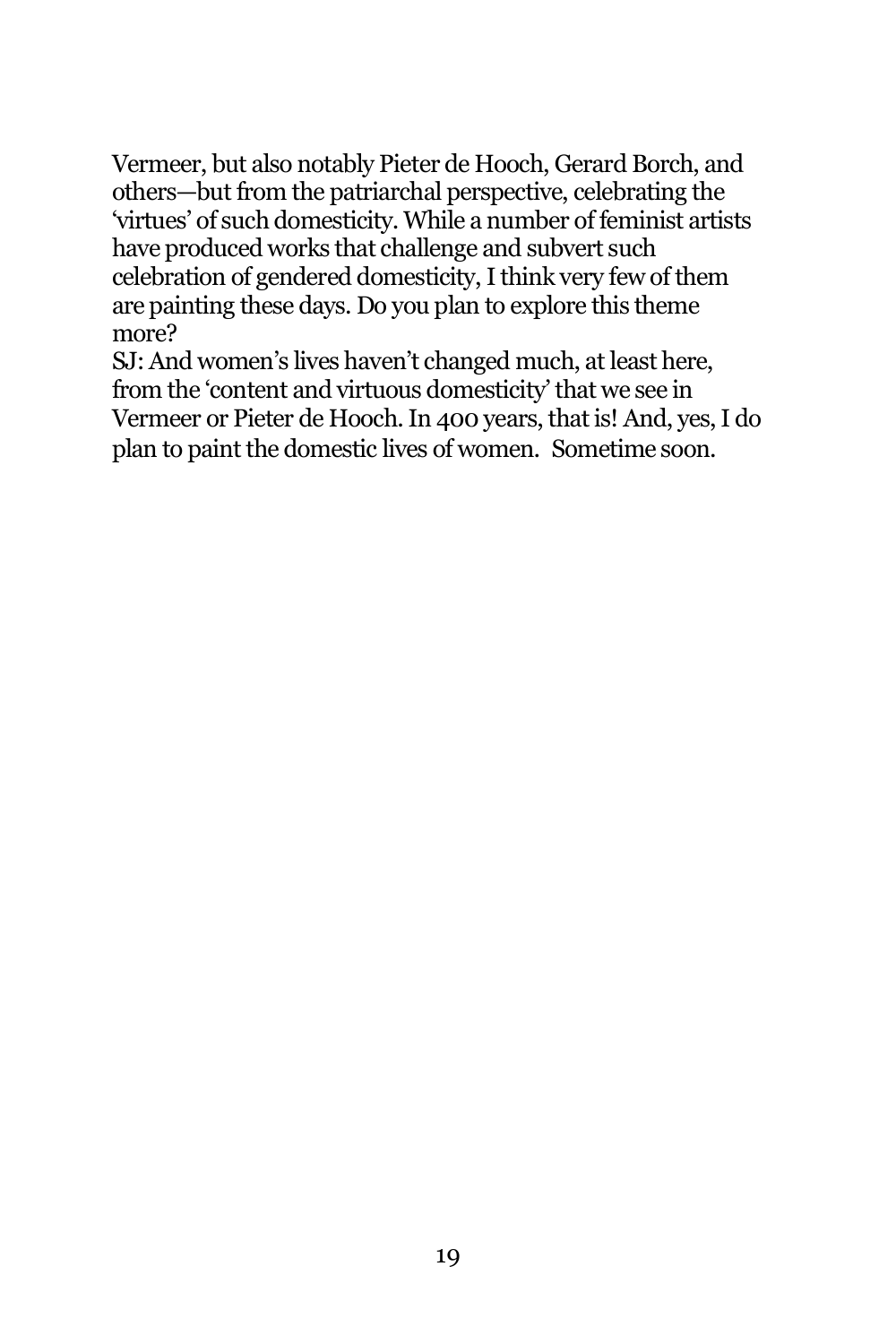Vermeer, but also notably Pieter de Hooch, Gerard Borch, and others—but from the patriarchal perspective, celebrating the 'virtues' of such domesticity. While a number of feminist artists have produced works that challenge and subvert such celebration of gendered domesticity, I think very few of them are painting these days. Do you plan to explore this theme more?

SJ: And women's lives haven't changed much, at least here, from the 'content and virtuous domesticity' that we see in Vermeer or Pieter de Hooch. In 400 years, that is! And, yes, I do plan to paint the domestic lives of women. Sometime soon.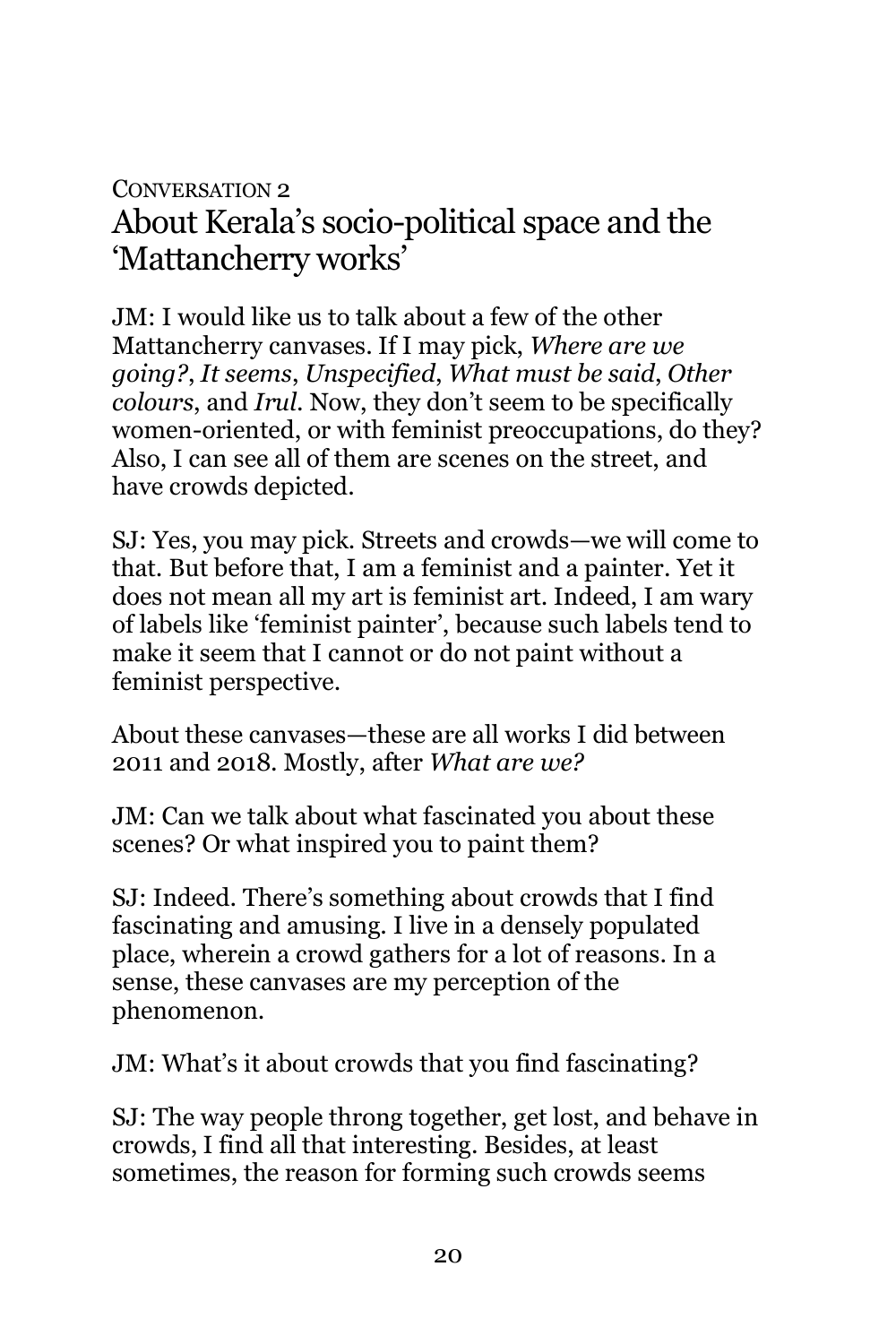### CONVERSATION 2 About Kerala's socio-political space and the 'Mattancherry works'

JM: I would like us to talk about a few of the other Mattancherry canvases. If I may pick, *Where are we going?*, *It seems*, *Unspecified*, *What must be said*, *Other colours*, and *Irul*. Now, they don't seem to be specifically women-oriented, or with feminist preoccupations, do they? Also, I can see all of them are scenes on the street, and have crowds depicted.

SJ: Yes, you may pick. Streets and crowds—we will come to that. But before that, I am a feminist and a painter. Yet it does not mean all my art is feminist art. Indeed, I am wary of labels like 'feminist painter', because such labels tend to make it seem that I cannot or do not paint without a feminist perspective.

About these canvases—these are all works I did between 2011 and 2018. Mostly, after *What are we?*

JM: Can we talk about what fascinated you about these scenes? Or what inspired you to paint them?

SJ: Indeed. There's something about crowds that I find fascinating and amusing. I live in a densely populated place, wherein a crowd gathers for a lot of reasons. In a sense, these canvases are my perception of the phenomenon.

JM: What's it about crowds that you find fascinating?

SJ: The way people throng together, get lost, and behave in crowds, I find all that interesting. Besides, at least sometimes, the reason for forming such crowds seems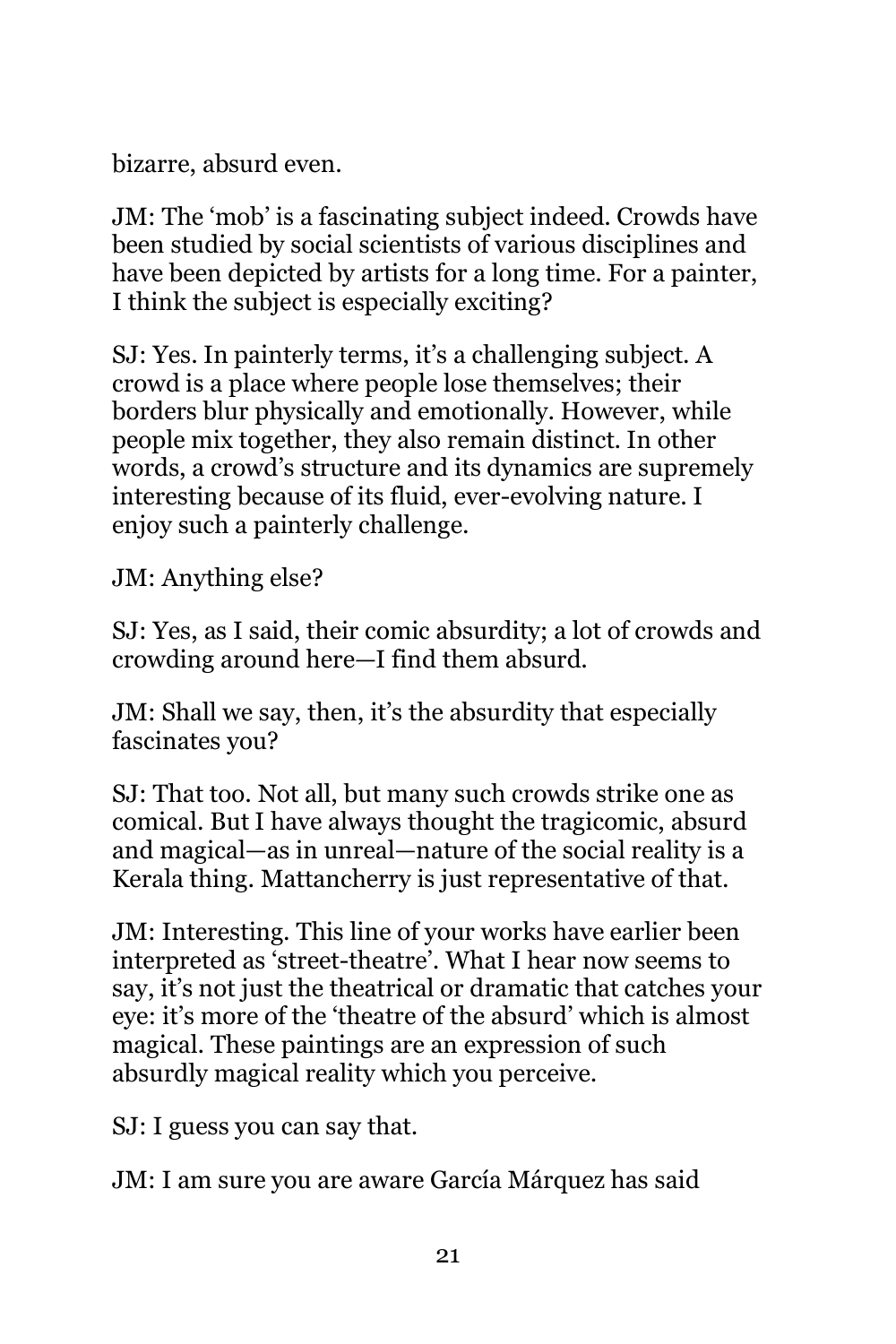bizarre, absurd even.

JM: The 'mob' is a fascinating subject indeed. Crowds have been studied by social scientists of various disciplines and have been depicted by artists for a long time. For a painter, I think the subject is especially exciting?

SJ: Yes. In painterly terms, it's a challenging subject. A crowd is a place where people lose themselves; their borders blur physically and emotionally. However, while people mix together, they also remain distinct. In other words, a crowd's structure and its dynamics are supremely interesting because of its fluid, ever-evolving nature. I enjoy such a painterly challenge.

JM: Anything else?

SJ: Yes, as I said, their comic absurdity; a lot of crowds and crowding around here—I find them absurd.

JM: Shall we say, then, it's the absurdity that especially fascinates you?

SJ: That too. Not all, but many such crowds strike one as comical. But I have always thought the tragicomic, absurd and magical—as in unreal—nature of the social reality is a Kerala thing. Mattancherry is just representative of that.

JM: Interesting. This line of your works have earlier been interpreted as 'street-theatre'. What I hear now seems to say, it's not just the theatrical or dramatic that catches your eye: it's more of the 'theatre of the absurd' which is almost magical. These paintings are an expression of such absurdly magical reality which you perceive.

SJ: I guess you can say that.

JM: I am sure you are aware García Márquez has said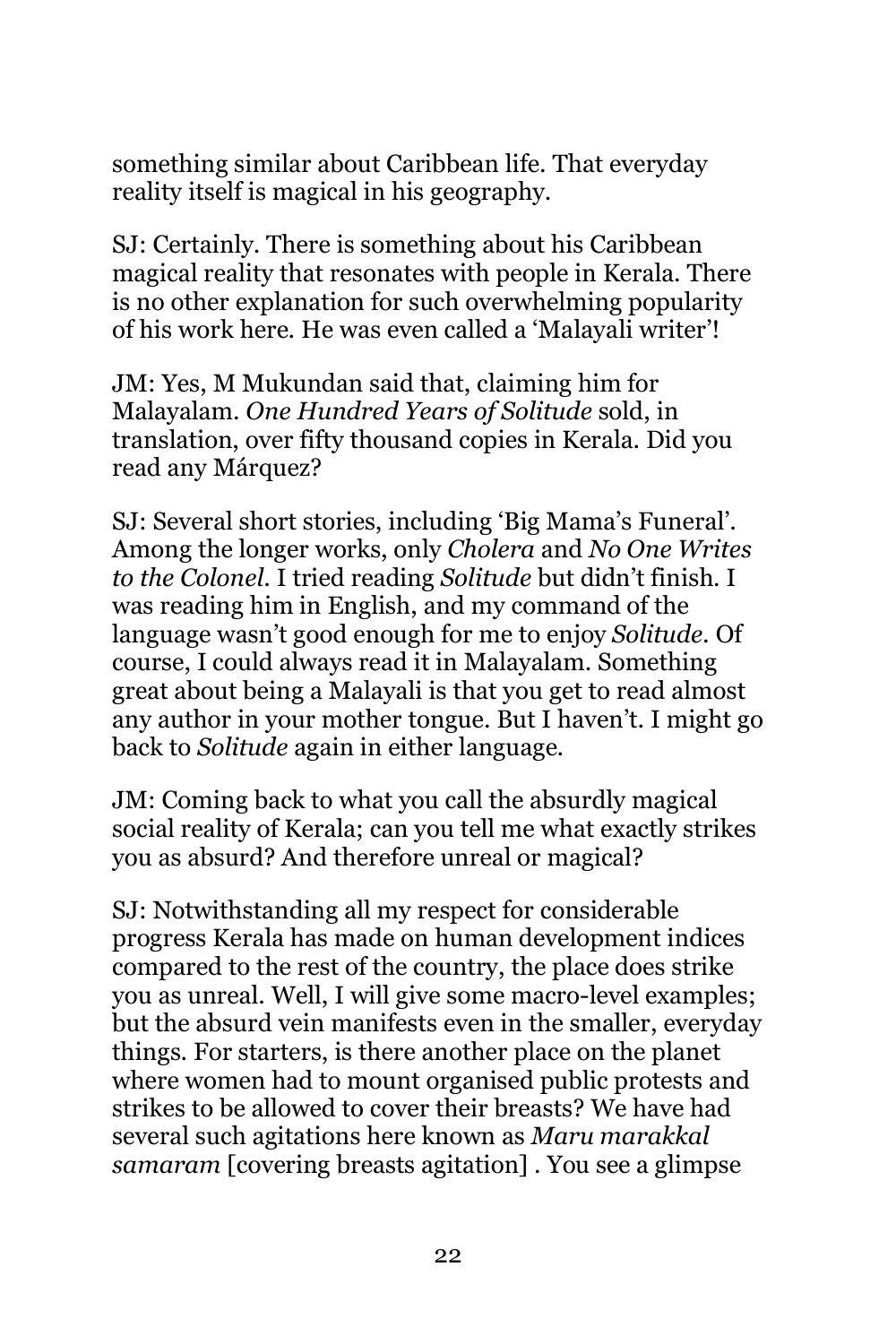something similar about Caribbean life. That everyday reality itself is magical in his geography.

SJ: Certainly. There is something about his Caribbean magical reality that resonates with people in Kerala. There is no other explanation for such overwhelming popularity of his work here. He was even called a 'Malayali writer'!

JM: Yes, M Mukundan said that, claiming him for Malayalam. *One Hundred Years of Solitude* sold, in translation, over fifty thousand copies in Kerala. Did you read any Márquez?

SJ: Several short stories, including 'Big Mama's Funeral'. Among the longer works, only *Cholera* and *No One Writes to the Colonel*. I tried reading *Solitude* but didn't finish. I was reading him in English, and my command of the language wasn't good enough for me to enjoy *Solitude.* Of course, I could always read it in Malayalam. Something great about being a Malayali is that you get to read almost any author in your mother tongue. But I haven't. I might go back to *Solitude* again in either language.

JM: Coming back to what you call the absurdly magical social reality of Kerala; can you tell me what exactly strikes you as absurd? And therefore unreal or magical?

SJ: Notwithstanding all my respect for considerable progress Kerala has made on human development indices compared to the rest of the country, the place does strike you as unreal. Well, I will give some macro-level examples; but the absurd vein manifests even in the smaller, everyday things. For starters, is there another place on the planet where women had to mount organised public protests and strikes to be allowed to cover their breasts? We have had several such agitations here known as *Maru marakkal samaram* [covering breasts agitation] . You see a glimpse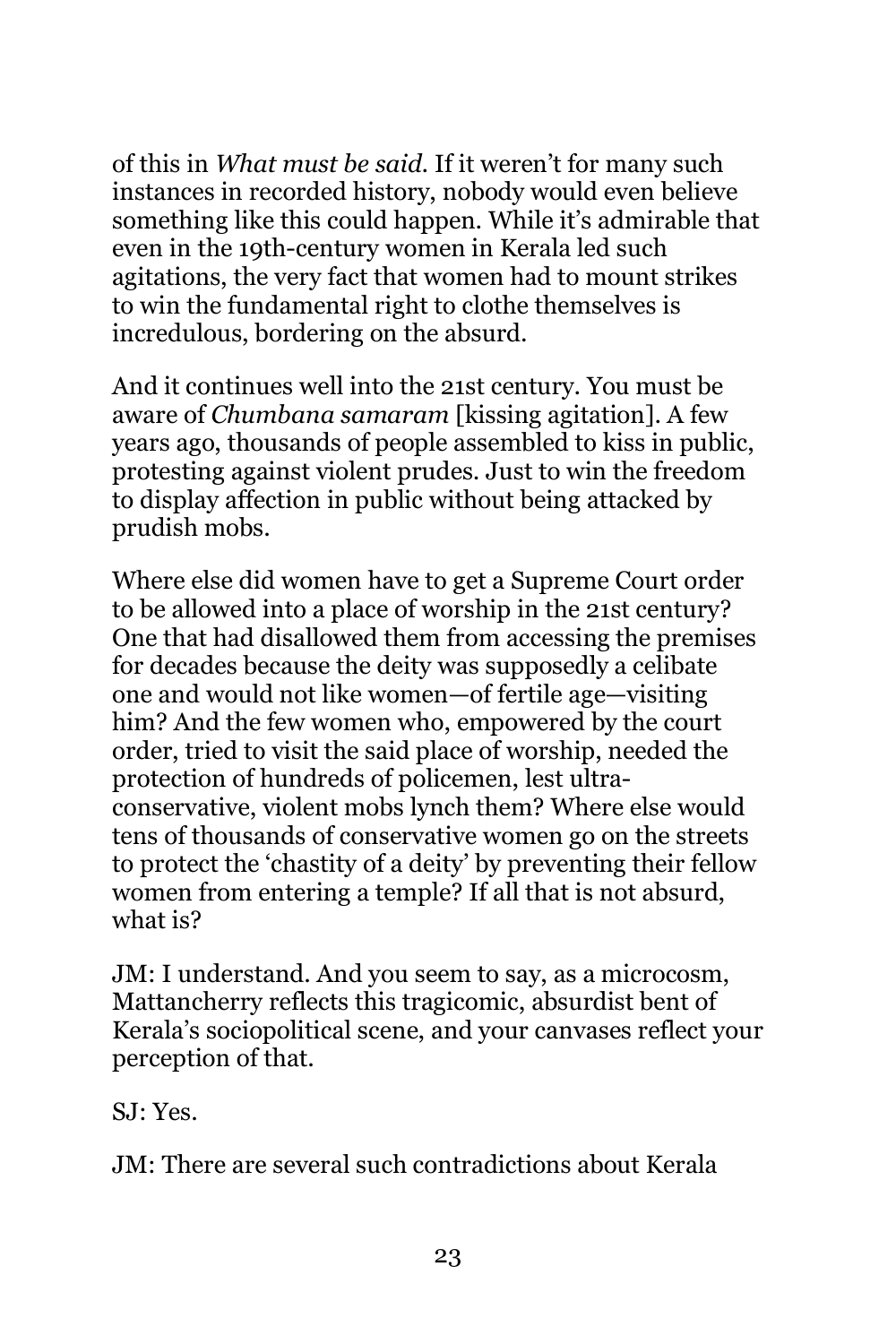of this in *What must be said*. If it weren't for many such instances in recorded history, nobody would even believe something like this could happen. While it's admirable that even in the 19th-century women in Kerala led such agitations, the very fact that women had to mount strikes to win the fundamental right to clothe themselves is incredulous, bordering on the absurd.

And it continues well into the 21st century. You must be aware of *Chumbana samaram* [kissing agitation]. A few years ago, thousands of people assembled to kiss in public, protesting against violent prudes. Just to win the freedom to display affection in public without being attacked by prudish mobs.

Where else did women have to get a Supreme Court order to be allowed into a place of worship in the 21st century? One that had disallowed them from accessing the premises for decades because the deity was supposedly a celibate one and would not like women—of fertile age—visiting him? And the few women who, empowered by the court order, tried to visit the said place of worship, needed the protection of hundreds of policemen, lest ultraconservative, violent mobs lynch them? Where else would tens of thousands of conservative women go on the streets to protect the 'chastity of a deity' by preventing their fellow women from entering a temple? If all that is not absurd, what is?

JM: I understand. And you seem to say, as a microcosm, Mattancherry reflects this tragicomic, absurdist bent of Kerala's sociopolitical scene, and your canvases reflect your perception of that.

SJ: Yes.

JM: There are several such contradictions about Kerala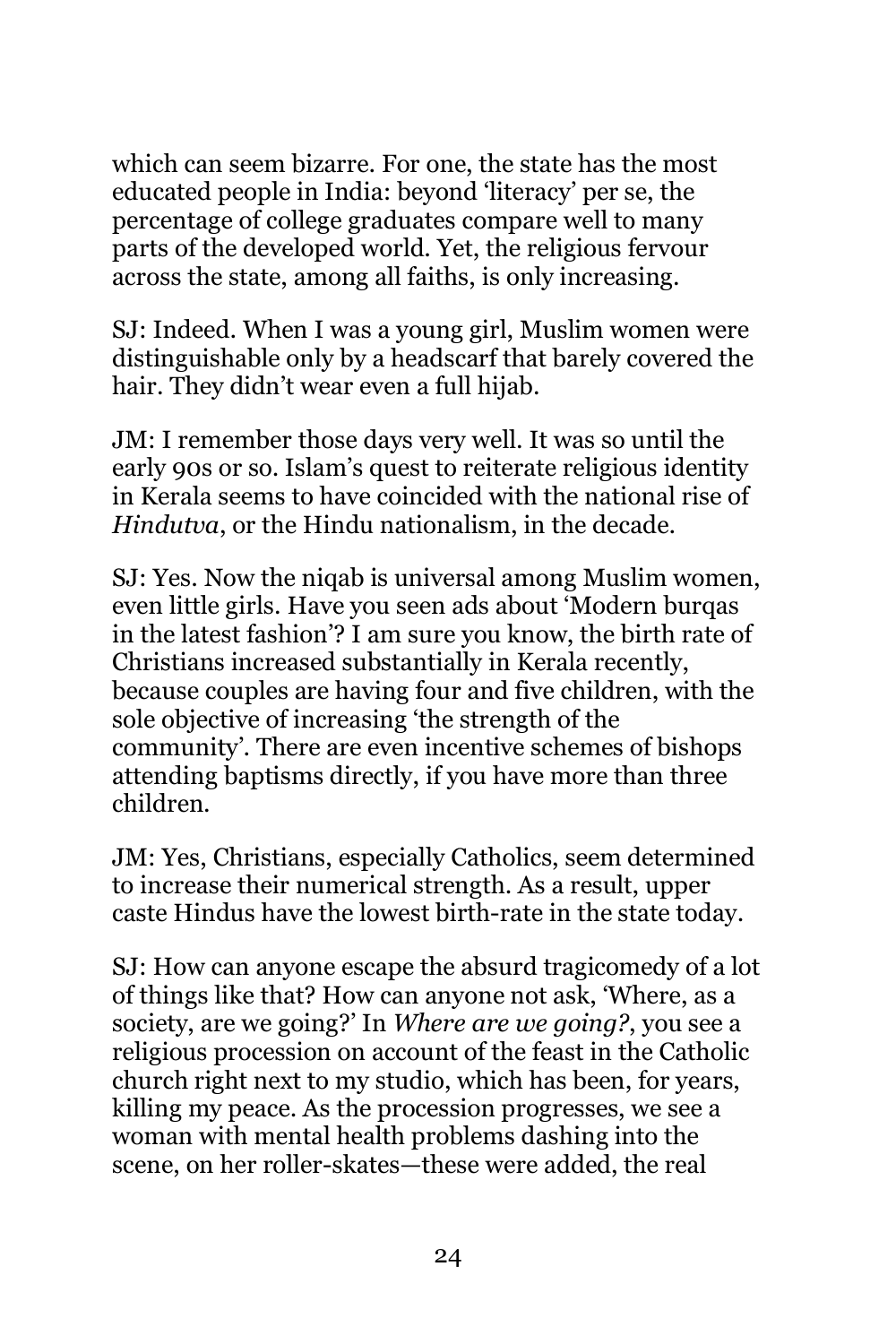which can seem bizarre. For one, the state has the most educated people in India: beyond 'literacy' per se, the percentage of college graduates compare well to many parts of the developed world. Yet, the religious fervour across the state, among all faiths, is only increasing.

SJ: Indeed. When I was a young girl, Muslim women were distinguishable only by a headscarf that barely covered the hair. They didn't wear even a full hijab.

JM: I remember those days very well. It was so until the early 90s or so. Islam's quest to reiterate religious identity in Kerala seems to have coincided with the national rise of *Hindutva*, or the Hindu nationalism, in the decade.

SJ: Yes. Now the niqab is universal among Muslim women, even little girls. Have you seen ads about 'Modern burqas in the latest fashion'? I am sure you know, the birth rate of Christians increased substantially in Kerala recently, because couples are having four and five children, with the sole objective of increasing 'the strength of the community'. There are even incentive schemes of bishops attending baptisms directly, if you have more than three children.

JM: Yes, Christians, especially Catholics, seem determined to increase their numerical strength. As a result, upper caste Hindus have the lowest birth-rate in the state today.

SJ: How can anyone escape the absurd tragicomedy of a lot of things like that? How can anyone not ask, 'Where, as a society, are we going?' In *Where are we going?*, you see a religious procession on account of the feast in the Catholic church right next to my studio, which has been, for years, killing my peace. As the procession progresses, we see a woman with mental health problems dashing into the scene, on her roller-skates—these were added, the real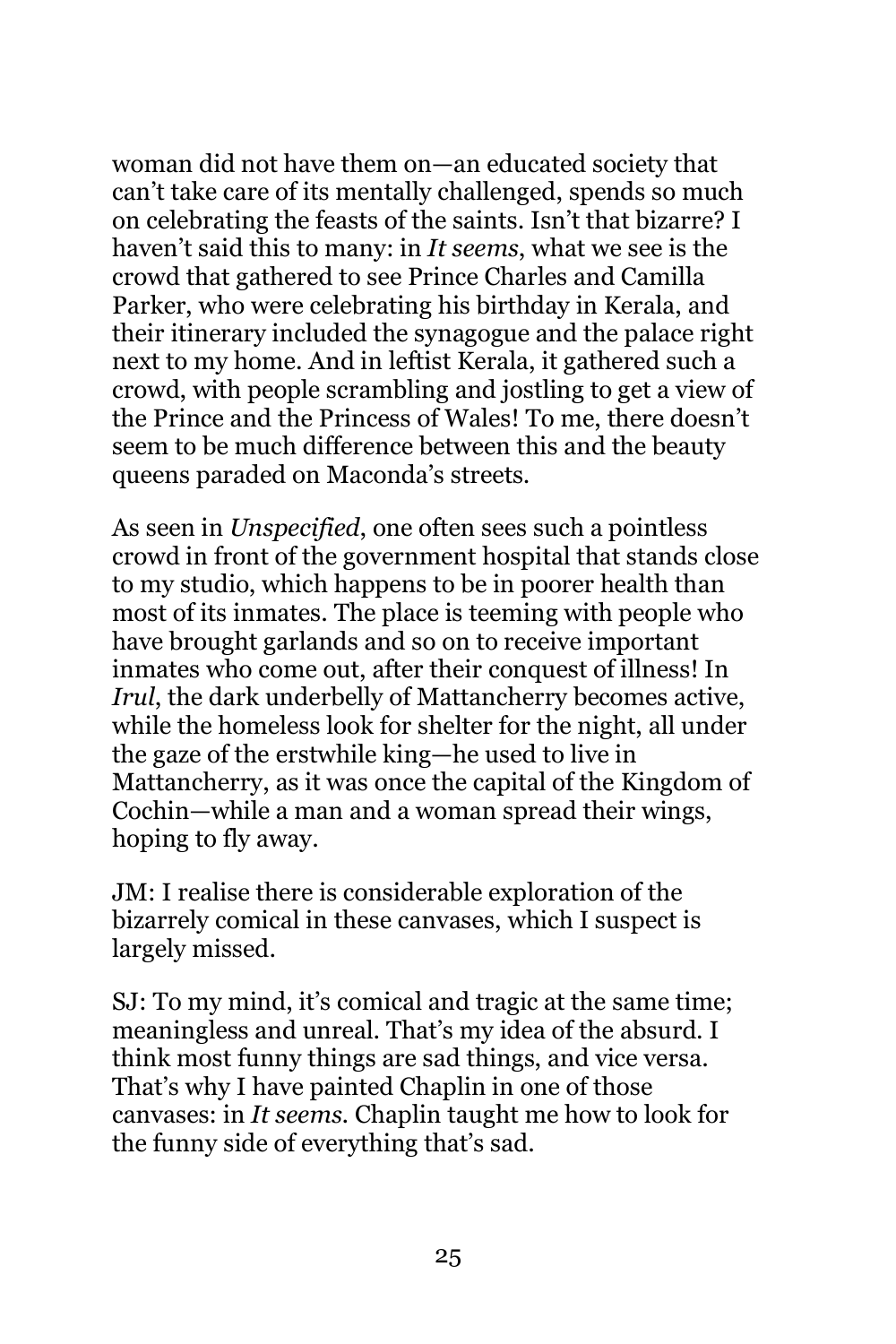woman did not have them on—an educated society that can't take care of its mentally challenged, spends so much on celebrating the feasts of the saints. Isn't that bizarre? I haven't said this to many: in *It seems*, what we see is the crowd that gathered to see Prince Charles and Camilla Parker, who were celebrating his birthday in Kerala, and their itinerary included the synagogue and the palace right next to my home. And in leftist Kerala, it gathered such a crowd, with people scrambling and jostling to get a view of the Prince and the Princess of Wales! To me, there doesn't seem to be much difference between this and the beauty queens paraded on Maconda's streets.

As seen in *Unspecified*, one often sees such a pointless crowd in front of the government hospital that stands close to my studio, which happens to be in poorer health than most of its inmates. The place is teeming with people who have brought garlands and so on to receive important inmates who come out, after their conquest of illness! In *Irul*, the dark underbelly of Mattancherry becomes active, while the homeless look for shelter for the night, all under the gaze of the erstwhile king—he used to live in Mattancherry, as it was once the capital of the Kingdom of Cochin—while a man and a woman spread their wings, hoping to fly away.

JM: I realise there is considerable exploration of the bizarrely comical in these canvases, which I suspect is largely missed.

SJ: To my mind, it's comical and tragic at the same time; meaningless and unreal. That's my idea of the absurd. I think most funny things are sad things, and vice versa. That's why I have painted Chaplin in one of those canvases: in *It seems*. Chaplin taught me how to look for the funny side of everything that's sad.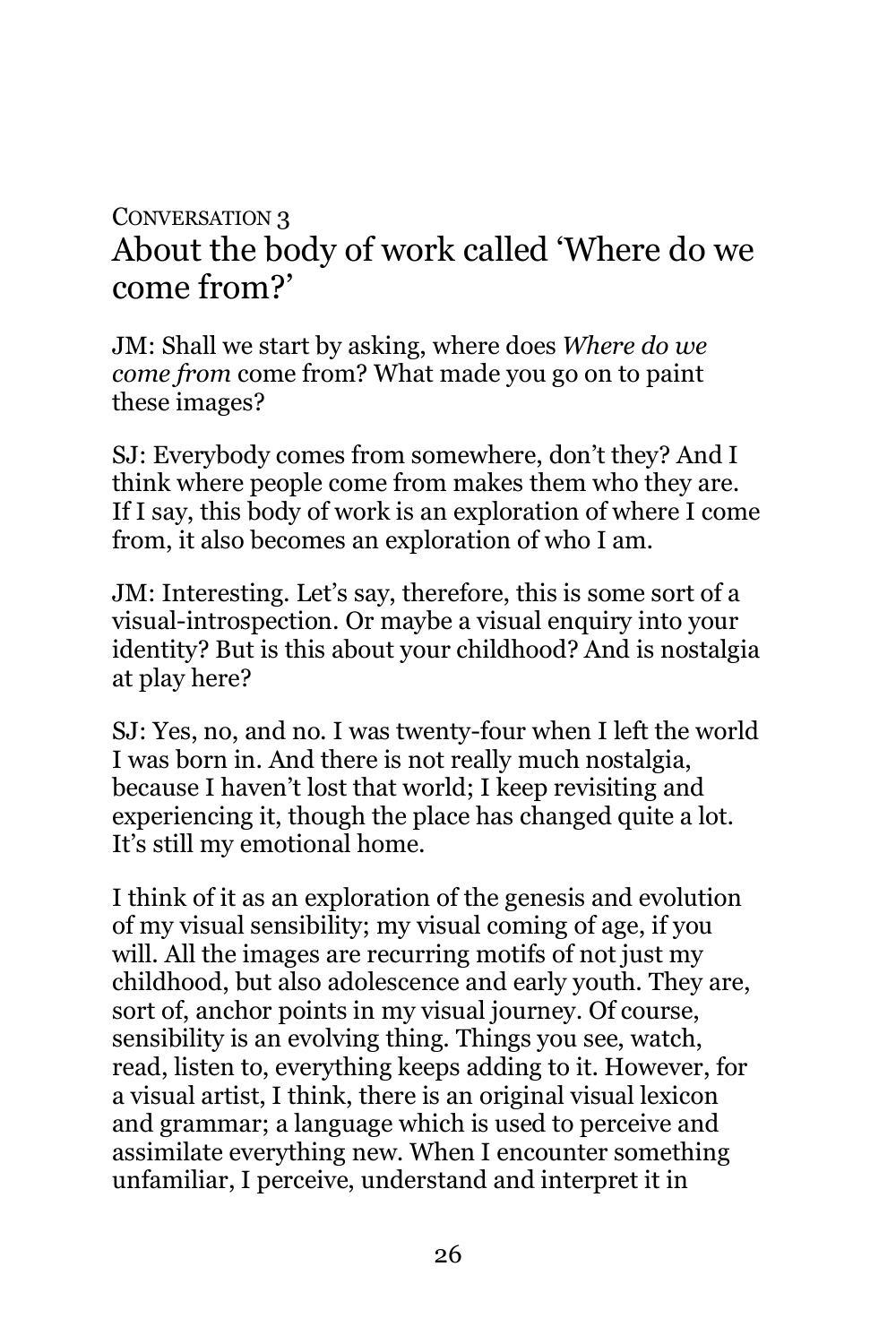### CONVERSATION 3 About the body of work called 'Where do we come from?'

JM: Shall we start by asking, where does *Where do we come from* come from? What made you go on to paint these images?

SJ: Everybody comes from somewhere, don't they? And I think where people come from makes them who they are. If I say, this body of work is an exploration of where I come from, it also becomes an exploration of who I am.

JM: Interesting. Let's say, therefore, this is some sort of a visual-introspection. Or maybe a visual enquiry into your identity? But is this about your childhood? And is nostalgia at play here?

SJ: Yes, no, and no. I was twenty-four when I left the world I was born in. And there is not really much nostalgia, because I haven't lost that world; I keep revisiting and experiencing it, though the place has changed quite a lot. It's still my emotional home.

I think of it as an exploration of the genesis and evolution of my visual sensibility; my visual coming of age, if you will. All the images are recurring motifs of not just my childhood, but also adolescence and early youth. They are, sort of, anchor points in my visual journey. Of course, sensibility is an evolving thing. Things you see, watch, read, listen to, everything keeps adding to it. However, for a visual artist, I think, there is an original visual lexicon and grammar; a language which is used to perceive and assimilate everything new. When I encounter something unfamiliar, I perceive, understand and interpret it in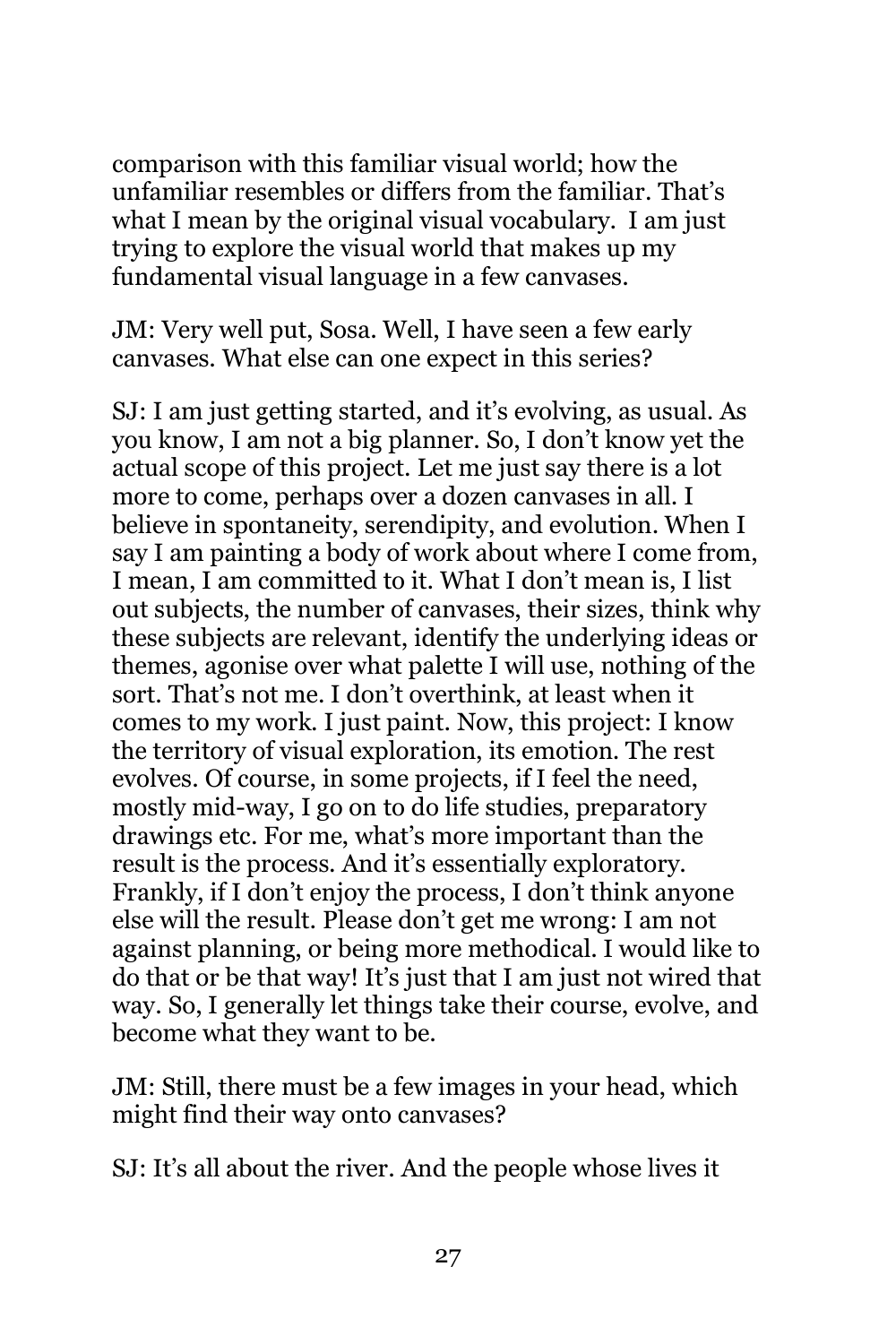comparison with this familiar visual world; how the unfamiliar resembles or differs from the familiar. That's what I mean by the original visual vocabulary. I am just trying to explore the visual world that makes up my fundamental visual language in a few canvases.

JM: Very well put, Sosa. Well, I have seen a few early canvases. What else can one expect in this series?

SJ: I am just getting started, and it's evolving, as usual. As you know, I am not a big planner. So, I don't know yet the actual scope of this project. Let me just say there is a lot more to come, perhaps over a dozen canvases in all. I believe in spontaneity, serendipity, and evolution. When I say I am painting a body of work about where I come from, I mean, I am committed to it. What I don't mean is, I list out subjects, the number of canvases, their sizes, think why these subjects are relevant, identify the underlying ideas or themes, agonise over what palette I will use, nothing of the sort. That's not me. I don't overthink, at least when it comes to my work. I just paint. Now, this project: I know the territory of visual exploration, its emotion. The rest evolves. Of course, in some projects, if I feel the need, mostly mid-way, I go on to do life studies, preparatory drawings etc. For me, what's more important than the result is the process. And it's essentially exploratory. Frankly, if I don't enjoy the process, I don't think anyone else will the result. Please don't get me wrong: I am not against planning, or being more methodical. I would like to do that or be that way! It's just that I am just not wired that way. So, I generally let things take their course, evolve, and become what they want to be.

JM: Still, there must be a few images in your head, which might find their way onto canvases?

SJ: It's all about the river. And the people whose lives it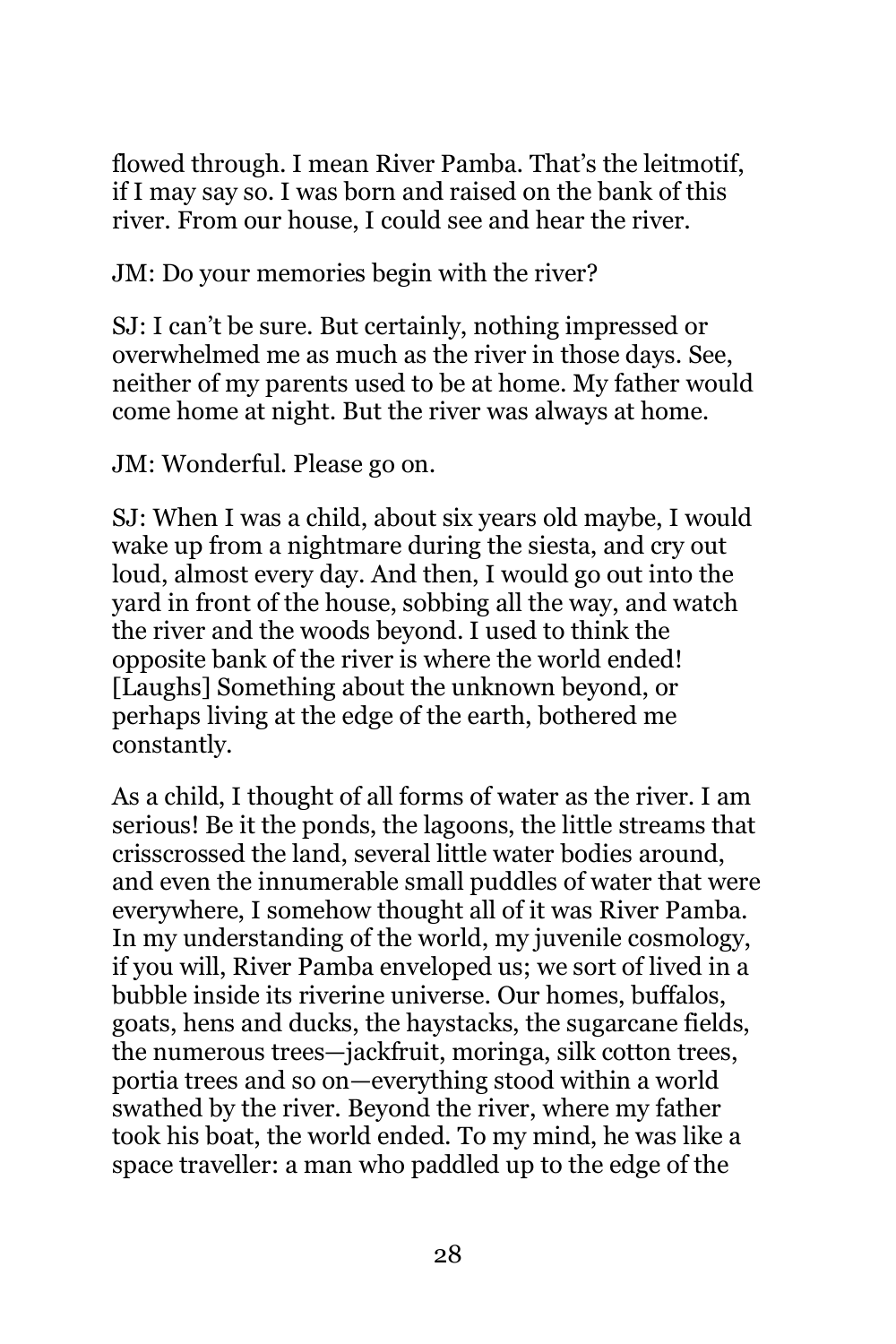flowed through. I mean River Pamba. That's the leitmotif, if I may say so. I was born and raised on the bank of this river. From our house, I could see and hear the river.

JM: Do your memories begin with the river?

SJ: I can't be sure. But certainly, nothing impressed or overwhelmed me as much as the river in those days. See, neither of my parents used to be at home. My father would come home at night. But the river was always at home.

JM: Wonderful. Please go on.

SJ: When I was a child, about six years old maybe, I would wake up from a nightmare during the siesta, and cry out loud, almost every day. And then, I would go out into the yard in front of the house, sobbing all the way, and watch the river and the woods beyond. I used to think the opposite bank of the river is where the world ended! [Laughs] Something about the unknown beyond, or perhaps living at the edge of the earth, bothered me constantly.

As a child, I thought of all forms of water as the river. I am serious! Be it the ponds, the lagoons, the little streams that crisscrossed the land, several little water bodies around, and even the innumerable small puddles of water that were everywhere, I somehow thought all of it was River Pamba. In my understanding of the world, my juvenile cosmology, if you will, River Pamba enveloped us; we sort of lived in a bubble inside its riverine universe. Our homes, buffalos, goats, hens and ducks, the haystacks, the sugarcane fields, the numerous trees—jackfruit, moringa, silk cotton trees, portia trees and so on—everything stood within a world swathed by the river. Beyond the river, where my father took his boat, the world ended. To my mind, he was like a space traveller: a man who paddled up to the edge of the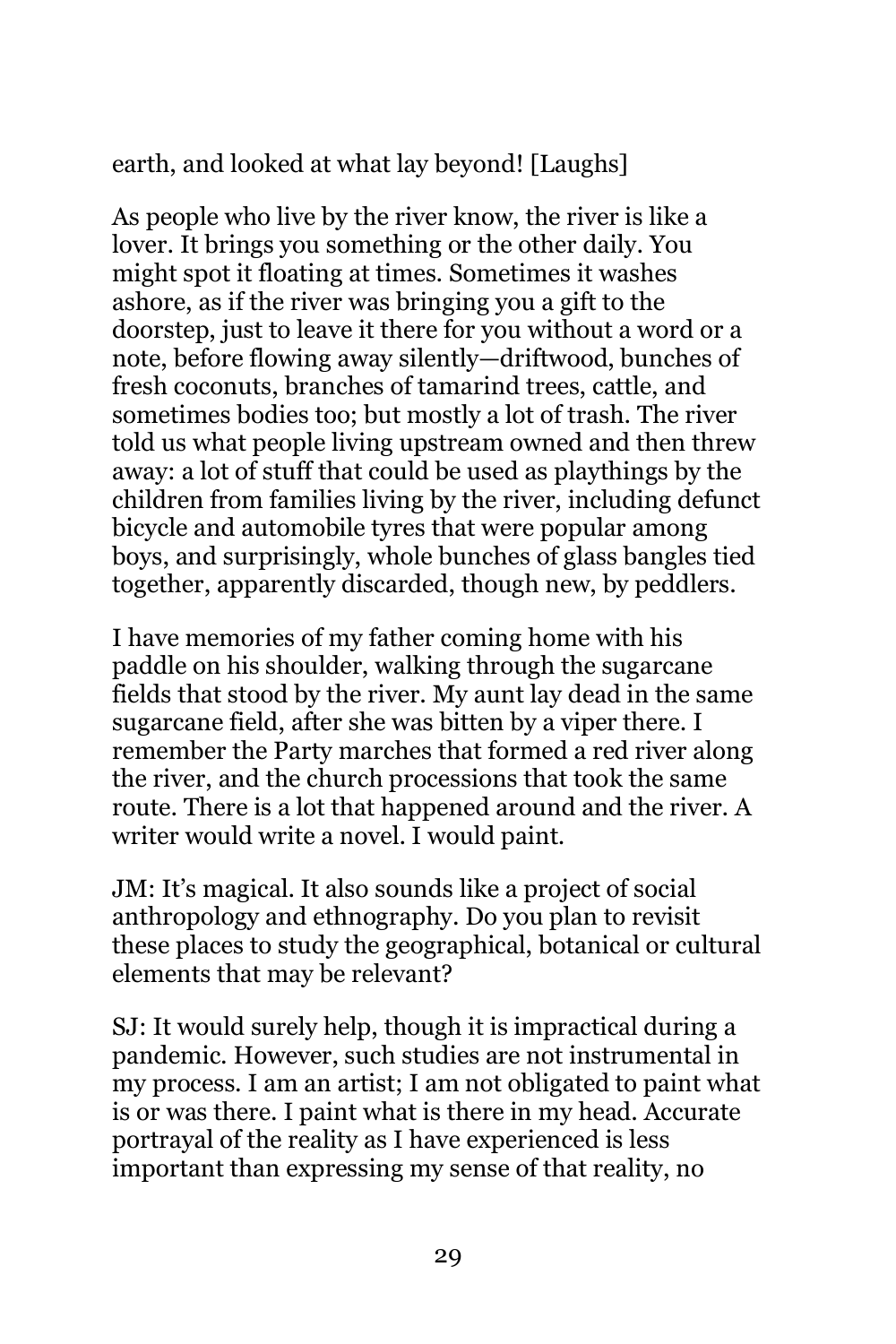earth, and looked at what lay beyond! [Laughs]

As people who live by the river know, the river is like a lover. It brings you something or the other daily. You might spot it floating at times. Sometimes it washes ashore, as if the river was bringing you a gift to the doorstep, just to leave it there for you without a word or a note, before flowing away silently—driftwood, bunches of fresh coconuts, branches of tamarind trees, cattle, and sometimes bodies too; but mostly a lot of trash. The river told us what people living upstream owned and then threw away: a lot of stuff that could be used as playthings by the children from families living by the river, including defunct bicycle and automobile tyres that were popular among boys, and surprisingly, whole bunches of glass bangles tied together, apparently discarded, though new, by peddlers.

I have memories of my father coming home with his paddle on his shoulder, walking through the sugarcane fields that stood by the river. My aunt lay dead in the same sugarcane field, after she was bitten by a viper there. I remember the Party marches that formed a red river along the river, and the church processions that took the same route. There is a lot that happened around and the river. A writer would write a novel. I would paint.

JM: It's magical. It also sounds like a project of social anthropology and ethnography. Do you plan to revisit these places to study the geographical, botanical or cultural elements that may be relevant?

SJ: It would surely help, though it is impractical during a pandemic. However, such studies are not instrumental in my process. I am an artist; I am not obligated to paint what is or was there. I paint what is there in my head. Accurate portrayal of the reality as I have experienced is less important than expressing my sense of that reality, no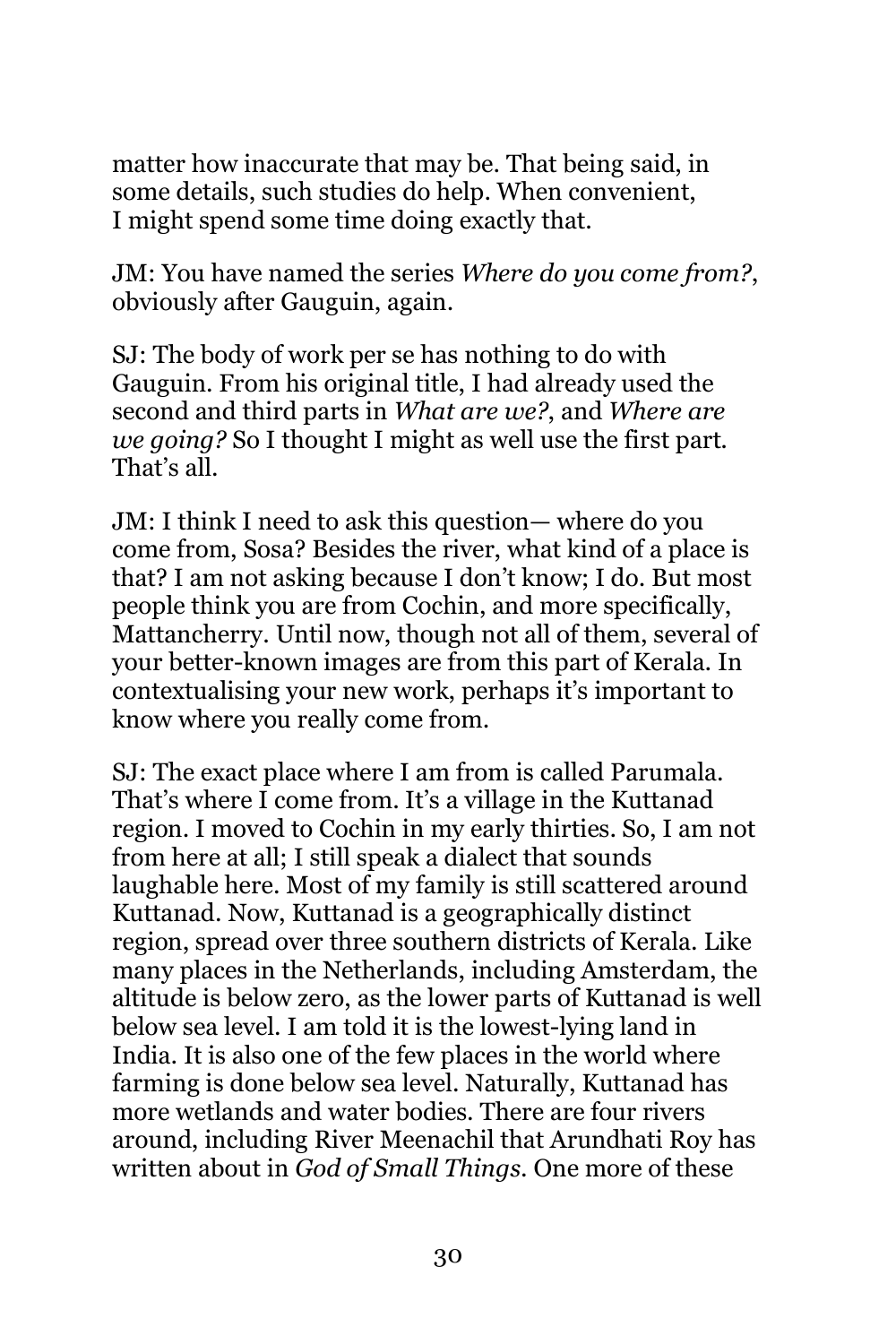matter how inaccurate that may be. That being said, in some details, such studies do help. When convenient, I might spend some time doing exactly that.

JM: You have named the series *Where do you come from?*, obviously after Gauguin, again.

SJ: The body of work per se has nothing to do with Gauguin. From his original title, I had already used the second and third parts in *What are we?*, and *Where are we going?* So I thought I might as well use the first part. That's all.

JM: I think I need to ask this question— where do you come from, Sosa? Besides the river, what kind of a place is that? I am not asking because I don't know; I do. But most people think you are from Cochin, and more specifically, Mattancherry. Until now, though not all of them, several of your better-known images are from this part of Kerala. In contextualising your new work, perhaps it's important to know where you really come from.

SJ: The exact place where I am from is called Parumala. That's where I come from. It's a village in the Kuttanad region. I moved to Cochin in my early thirties. So, I am not from here at all; I still speak a dialect that sounds laughable here. Most of my family is still scattered around Kuttanad. Now, Kuttanad is a geographically distinct region, spread over three southern districts of Kerala. Like many places in the Netherlands, including Amsterdam, the altitude is below zero, as the lower parts of Kuttanad is well below sea level. I am told it is the lowest-lying land in India. It is also one of the few places in the world where farming is done below sea level. Naturally, Kuttanad has more wetlands and water bodies. There are four rivers around, including River Meenachil that Arundhati Roy has written about in *God of Small Things*. One more of these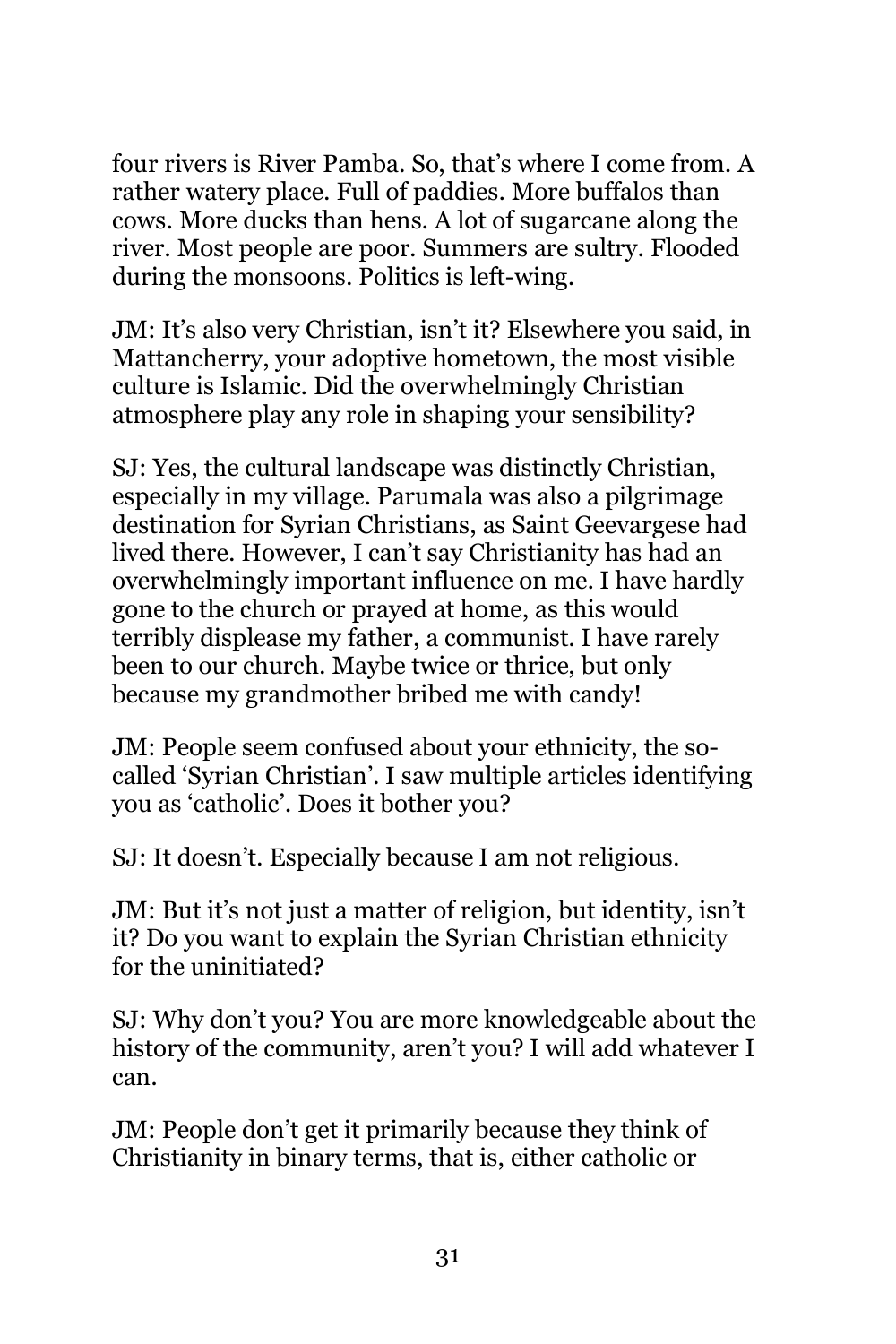four rivers is River Pamba. So, that's where I come from. A rather watery place. Full of paddies. More buffalos than cows. More ducks than hens. A lot of sugarcane along the river. Most people are poor. Summers are sultry. Flooded during the monsoons. Politics is left-wing.

JM: It's also very Christian, isn't it? Elsewhere you said, in Mattancherry, your adoptive hometown, the most visible culture is Islamic. Did the overwhelmingly Christian atmosphere play any role in shaping your sensibility?

SJ: Yes, the cultural landscape was distinctly Christian, especially in my village. Parumala was also a pilgrimage destination for Syrian Christians, as Saint Geevargese had lived there. However, I can't say Christianity has had an overwhelmingly important influence on me. I have hardly gone to the church or prayed at home, as this would terribly displease my father, a communist. I have rarely been to our church. Maybe twice or thrice, but only because my grandmother bribed me with candy!

JM: People seem confused about your ethnicity, the socalled 'Syrian Christian'. I saw multiple articles identifying you as 'catholic'. Does it bother you?

SJ: It doesn't. Especially because I am not religious.

JM: But it's not just a matter of religion, but identity, isn't it? Do you want to explain the Syrian Christian ethnicity for the uninitiated?

SJ: Why don't you? You are more knowledgeable about the history of the community, aren't you? I will add whatever I can.

JM: People don't get it primarily because they think of Christianity in binary terms, that is, either catholic or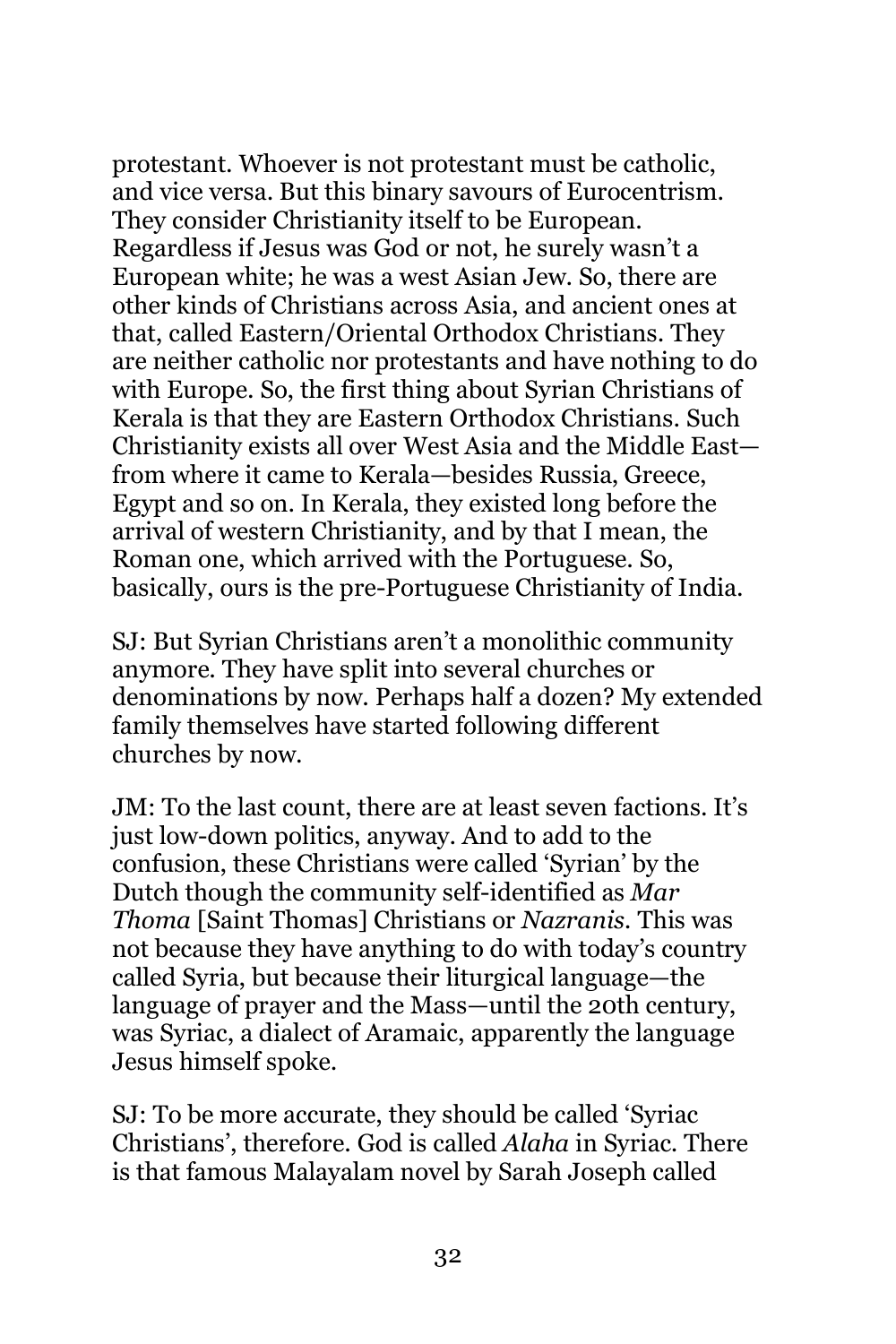protestant. Whoever is not protestant must be catholic, and vice versa. But this binary savours of Eurocentrism. They consider Christianity itself to be European. Regardless if Jesus was God or not, he surely wasn't a European white; he was a west Asian Jew. So, there are other kinds of Christians across Asia, and ancient ones at that, called Eastern/Oriental Orthodox Christians. They are neither catholic nor protestants and have nothing to do with Europe. So, the first thing about Syrian Christians of Kerala is that they are Eastern Orthodox Christians. Such Christianity exists all over West Asia and the Middle East from where it came to Kerala—besides Russia, Greece, Egypt and so on. In Kerala, they existed long before the arrival of western Christianity, and by that I mean, the Roman one, which arrived with the Portuguese. So, basically, ours is the pre-Portuguese Christianity of India.

SJ: But Syrian Christians aren't a monolithic community anymore. They have split into several churches or denominations by now. Perhaps half a dozen? My extended family themselves have started following different churches by now.

JM: To the last count, there are at least seven factions. It's just low-down politics, anyway. And to add to the confusion, these Christians were called 'Syrian' by the Dutch though the community self-identified as *Mar Thoma* [Saint Thomas] Christians or *Nazranis.* This was not because they have anything to do with today's country called Syria, but because their liturgical language—the language of prayer and the Mass—until the 20th century, was Syriac, a dialect of Aramaic, apparently the language Jesus himself spoke.

SJ: To be more accurate, they should be called 'Syriac Christians', therefore. God is called *Alaha* in Syriac. There is that famous Malayalam novel by Sarah Joseph called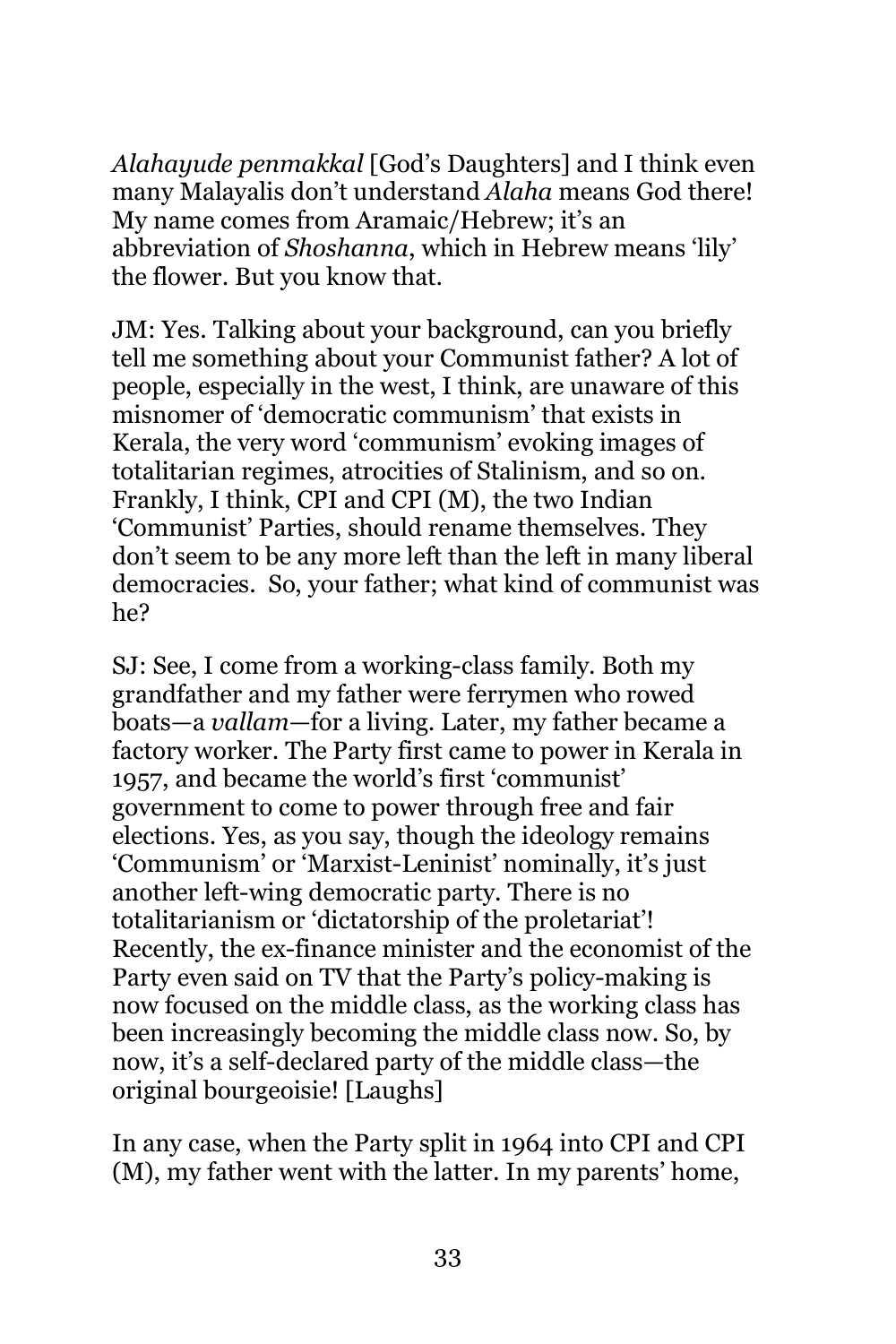*Alahayude penmakkal* [God's Daughters] and I think even many Malayalis don't understand *Alaha* means God there! My name comes from Aramaic/Hebrew; it's an abbreviation of *Shoshanna*, which in Hebrew means 'lily' the flower. But you know that.

JM: Yes. Talking about your background, can you briefly tell me something about your Communist father? A lot of people, especially in the west, I think, are unaware of this misnomer of 'democratic communism' that exists in Kerala, the very word 'communism' evoking images of totalitarian regimes, atrocities of Stalinism, and so on. Frankly, I think, CPI and CPI (M), the two Indian 'Communist' Parties, should rename themselves. They don't seem to be any more left than the left in many liberal democracies. So, your father; what kind of communist was he?

SJ: See, I come from a working-class family. Both my grandfather and my father were ferrymen who rowed boats—a *vallam*—for a living. Later, my father became a factory worker. The Party first came to power in Kerala in 1957, and became the world's first 'communist' government to come to power through free and fair elections. Yes, as you say, though the ideology remains 'Communism' or 'Marxist-Leninist' nominally, it's just another left-wing democratic party. There is no totalitarianism or 'dictatorship of the proletariat'! Recently, the ex-finance minister and the economist of the Party even said on TV that the Party's policy-making is now focused on the middle class, as the working class has been increasingly becoming the middle class now. So, by now, it's a self-declared party of the middle class—the original bourgeoisie! [Laughs]

In any case, when the Party split in 1964 into CPI and CPI (M), my father went with the latter. In my parents' home,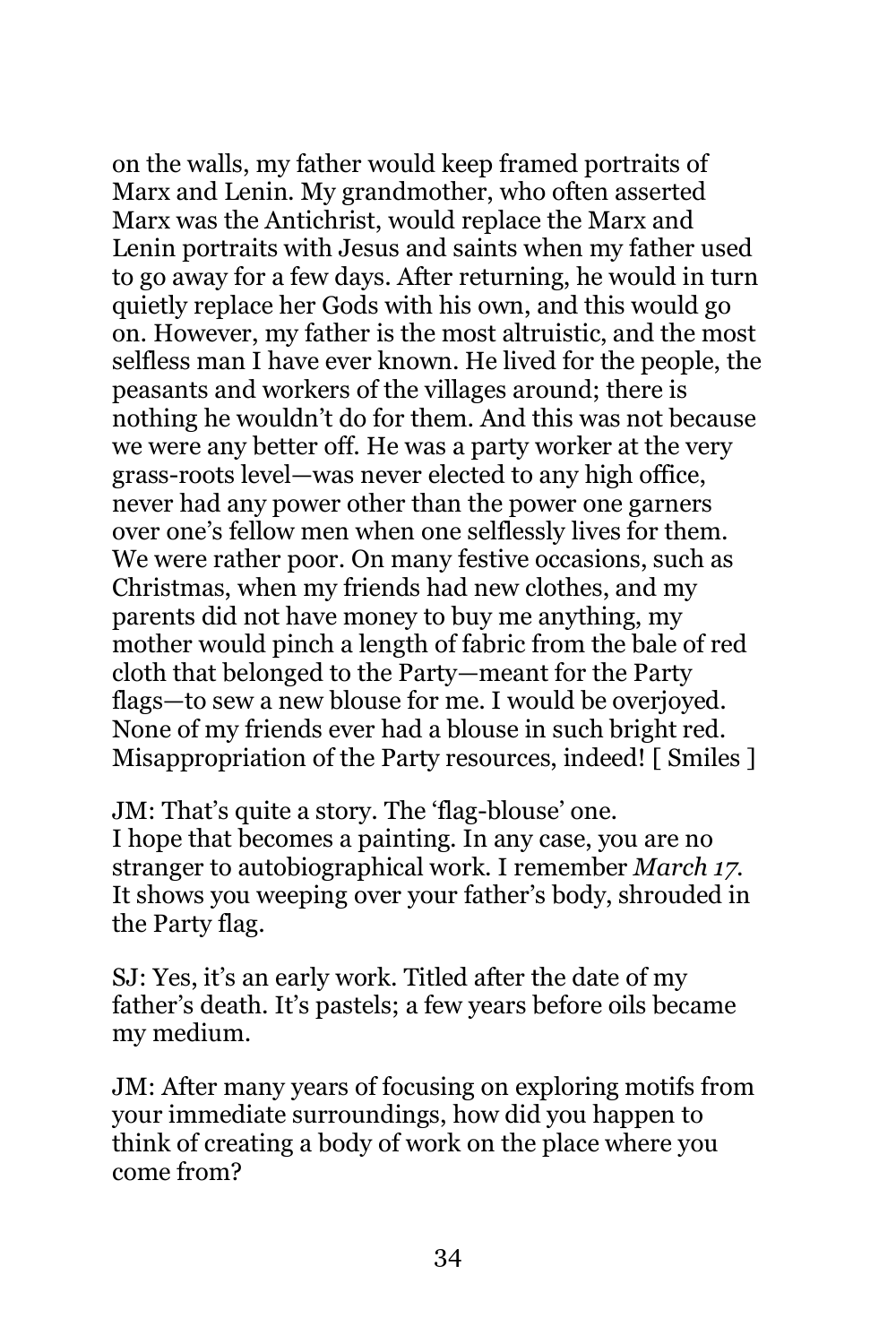on the walls, my father would keep framed portraits of Marx and Lenin. My grandmother, who often asserted Marx was the Antichrist, would replace the Marx and Lenin portraits with Jesus and saints when my father used to go away for a few days. After returning, he would in turn quietly replace her Gods with his own, and this would go on. However, my father is the most altruistic, and the most selfless man I have ever known. He lived for the people, the peasants and workers of the villages around; there is nothing he wouldn't do for them. And this was not because we were any better off. He was a party worker at the very grass-roots level—was never elected to any high office, never had any power other than the power one garners over one's fellow men when one selflessly lives for them. We were rather poor. On many festive occasions, such as Christmas, when my friends had new clothes, and my parents did not have money to buy me anything, my mother would pinch a length of fabric from the bale of red cloth that belonged to the Party—meant for the Party flags—to sew a new blouse for me. I would be overjoyed. None of my friends ever had a blouse in such bright red. Misappropriation of the Party resources, indeed! [ Smiles ]

JM: That's quite a story. The 'flag-blouse' one. I hope that becomes a painting. In any case, you are no stranger to autobiographical work. I remember *March 17*. It shows you weeping over your father's body, shrouded in the Party flag.

SJ: Yes, it's an early work. Titled after the date of my father's death. It's pastels; a few years before oils became my medium.

JM: After many years of focusing on exploring motifs from your immediate surroundings, how did you happen to think of creating a body of work on the place where you come from?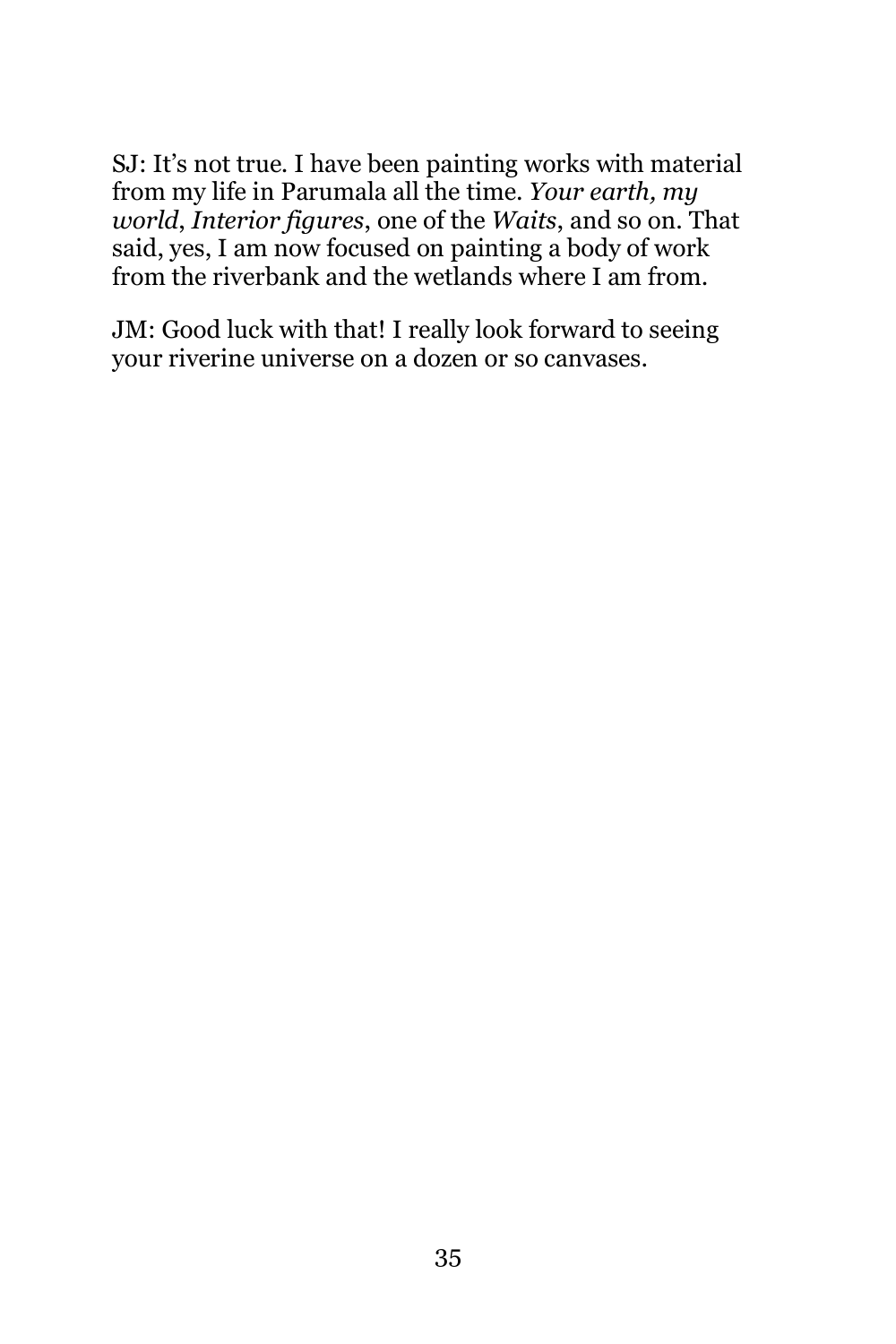SJ: It's not true. I have been painting works with material from my life in Parumala all the time. *Your earth, my world*, *Interior figures*, one of the *Waits*, and so on. That said, yes, I am now focused on painting a body of work from the riverbank and the wetlands where I am from.

JM: Good luck with that! I really look forward to seeing your riverine universe on a dozen or so canvases.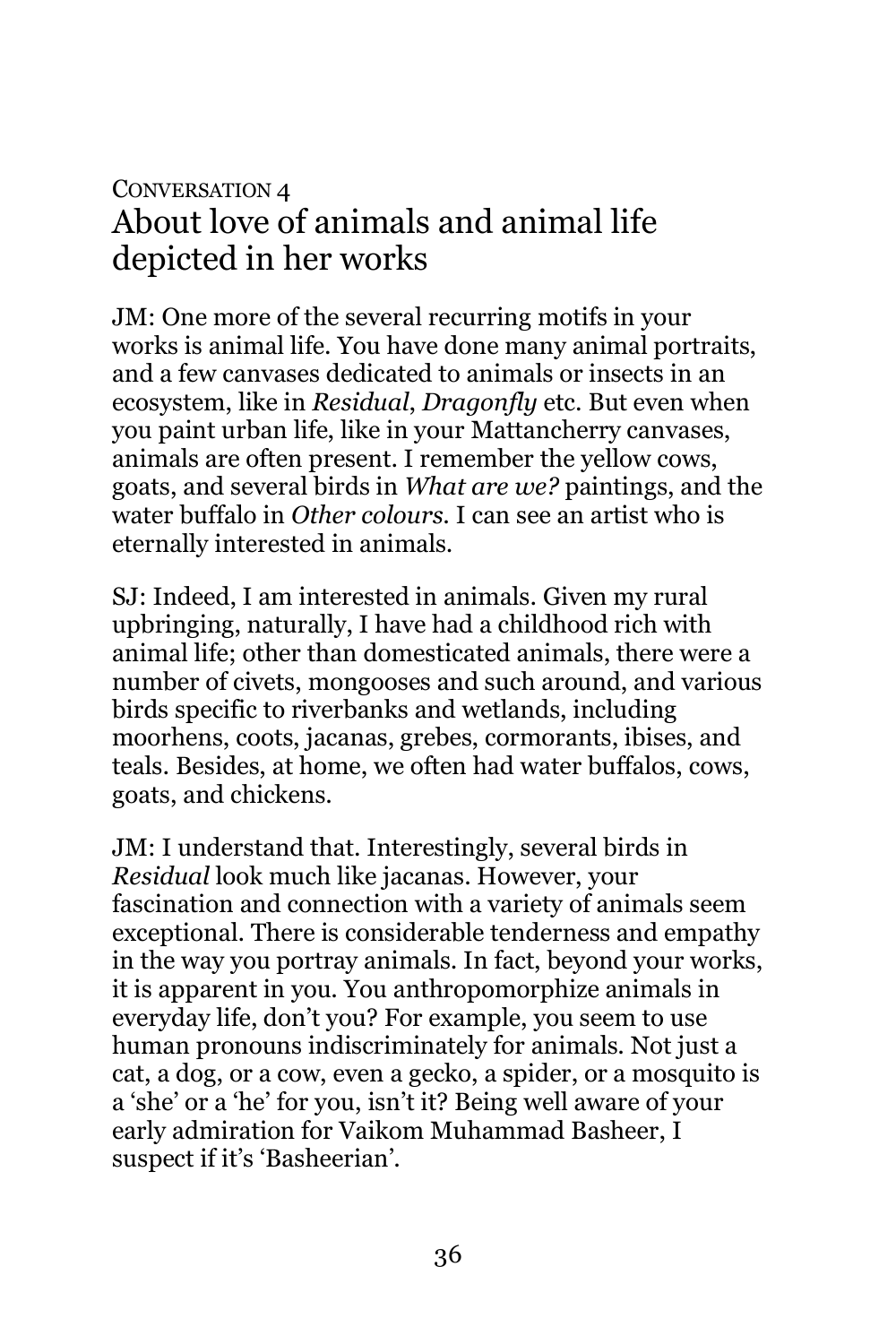### CONVERSATION 4 About love of animals and animal life depicted in her works

JM: One more of the several recurring motifs in your works is animal life. You have done many animal portraits, and a few canvases dedicated to animals or insects in an ecosystem, like in *Residual*, *Dragonfly* etc. But even when you paint urban life, like in your Mattancherry canvases, animals are often present. I remember the yellow cows, goats, and several birds in *What are we?* paintings, and the water buffalo in *Other colours*. I can see an artist who is eternally interested in animals.

SJ: Indeed, I am interested in animals. Given my rural upbringing, naturally, I have had a childhood rich with animal life; other than domesticated animals, there were a number of civets, mongooses and such around, and various birds specific to riverbanks and wetlands, including moorhens, coots, jacanas, grebes, cormorants, ibises, and teals. Besides, at home, we often had water buffalos, cows, goats, and chickens.

JM: I understand that. Interestingly, several birds in *Residual* look much like jacanas. However, your fascination and connection with a variety of animals seem exceptional. There is considerable tenderness and empathy in the way you portray animals. In fact, beyond your works, it is apparent in you. You anthropomorphize animals in everyday life, don't you? For example, you seem to use human pronouns indiscriminately for animals. Not just a cat, a dog, or a cow, even a gecko, a spider, or a mosquito is a 'she' or a 'he' for you, isn't it? Being well aware of your early admiration for Vaikom Muhammad Basheer, I suspect if it's 'Basheerian'.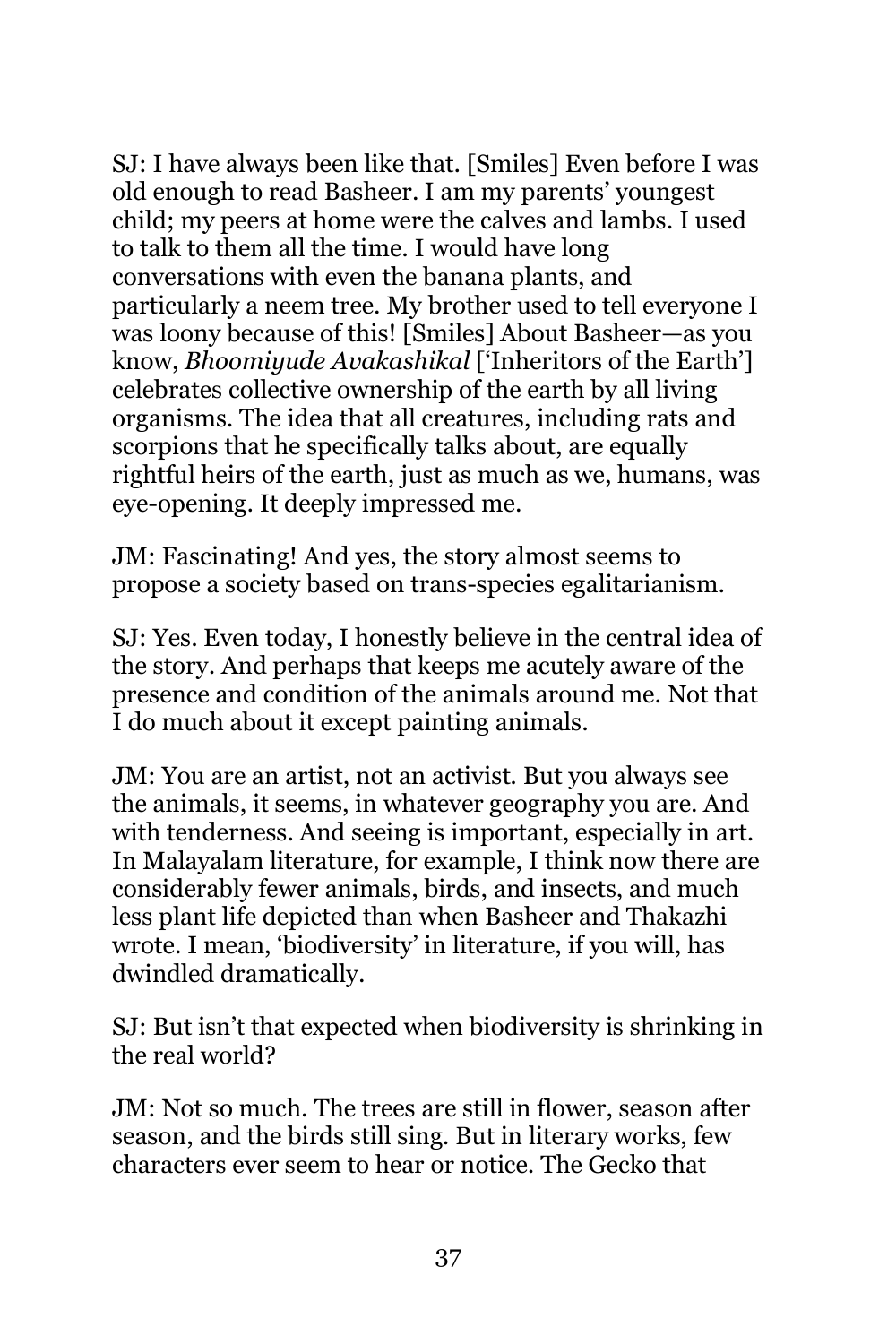SJ: I have always been like that. [Smiles] Even before I was old enough to read Basheer. I am my parents' youngest child; my peers at home were the calves and lambs. I used to talk to them all the time. I would have long conversations with even the banana plants, and particularly a neem tree. My brother used to tell everyone I was loony because of this! [Smiles] About Basheer—as you know, *Bhoomiyude Avakashikal* ['Inheritors of the Earth'] celebrates collective ownership of the earth by all living organisms. The idea that all creatures, including rats and scorpions that he specifically talks about, are equally rightful heirs of the earth, just as much as we, humans, was eye-opening. It deeply impressed me.

JM: Fascinating! And yes, the story almost seems to propose a society based on trans-species egalitarianism.

SJ: Yes. Even today, I honestly believe in the central idea of the story. And perhaps that keeps me acutely aware of the presence and condition of the animals around me. Not that I do much about it except painting animals.

JM: You are an artist, not an activist. But you always see the animals, it seems, in whatever geography you are. And with tenderness. And seeing is important, especially in art. In Malayalam literature, for example, I think now there are considerably fewer animals, birds, and insects, and much less plant life depicted than when Basheer and Thakazhi wrote. I mean, 'biodiversity' in literature, if you will, has dwindled dramatically.

SJ: But isn't that expected when biodiversity is shrinking in the real world?

JM: Not so much. The trees are still in flower, season after season, and the birds still sing. But in literary works, few characters ever seem to hear or notice. The Gecko that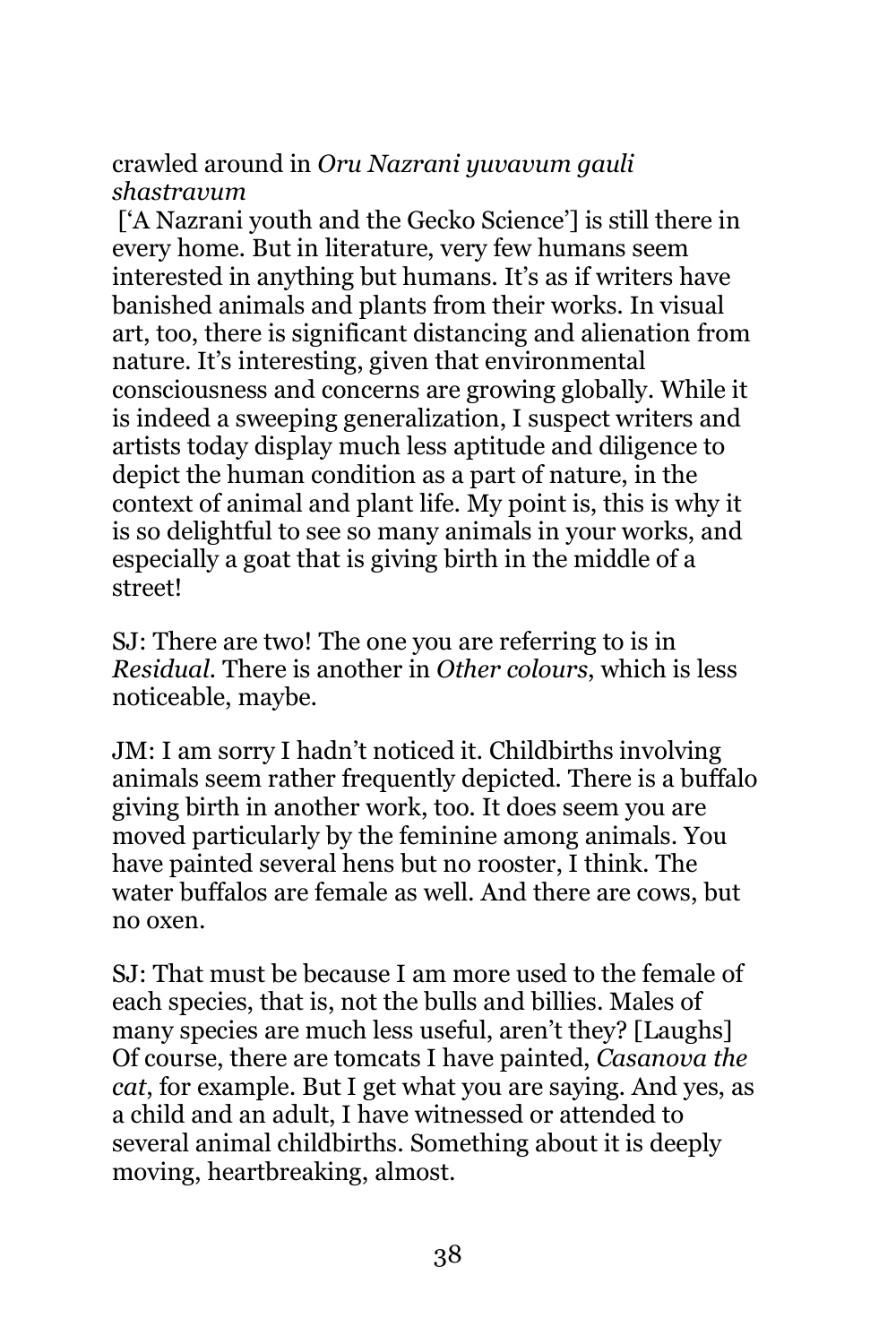crawled around in *Oru Nazrani yuvavum gauli shastravum*

['A Nazrani youth and the Gecko Science'] is still there in every home. But in literature, very few humans seem interested in anything but humans. It's as if writers have banished animals and plants from their works. In visual art, too, there is significant distancing and alienation from nature. It's interesting, given that environmental consciousness and concerns are growing globally. While it is indeed a sweeping generalization, I suspect writers and artists today display much less aptitude and diligence to depict the human condition as a part of nature, in the context of animal and plant life. My point is, this is why it is so delightful to see so many animals in your works, and especially a goat that is giving birth in the middle of a street!

SJ: There are two! The one you are referring to is in *Residual.* There is another in *Other colours*, which is less noticeable, maybe.

JM: I am sorry I hadn't noticed it. Childbirths involving animals seem rather frequently depicted. There is a buffalo giving birth in another work, too. It does seem you are moved particularly by the feminine among animals. You have painted several hens but no rooster, I think. The water buffalos are female as well. And there are cows, but no oxen.

SJ: That must be because I am more used to the female of each species, that is, not the bulls and billies. Males of many species are much less useful, aren't they? [Laughs] Of course, there are tomcats I have painted, *Casanova the cat*, for example. But I get what you are saying. And yes, as a child and an adult, I have witnessed or attended to several animal childbirths. Something about it is deeply moving, heartbreaking, almost.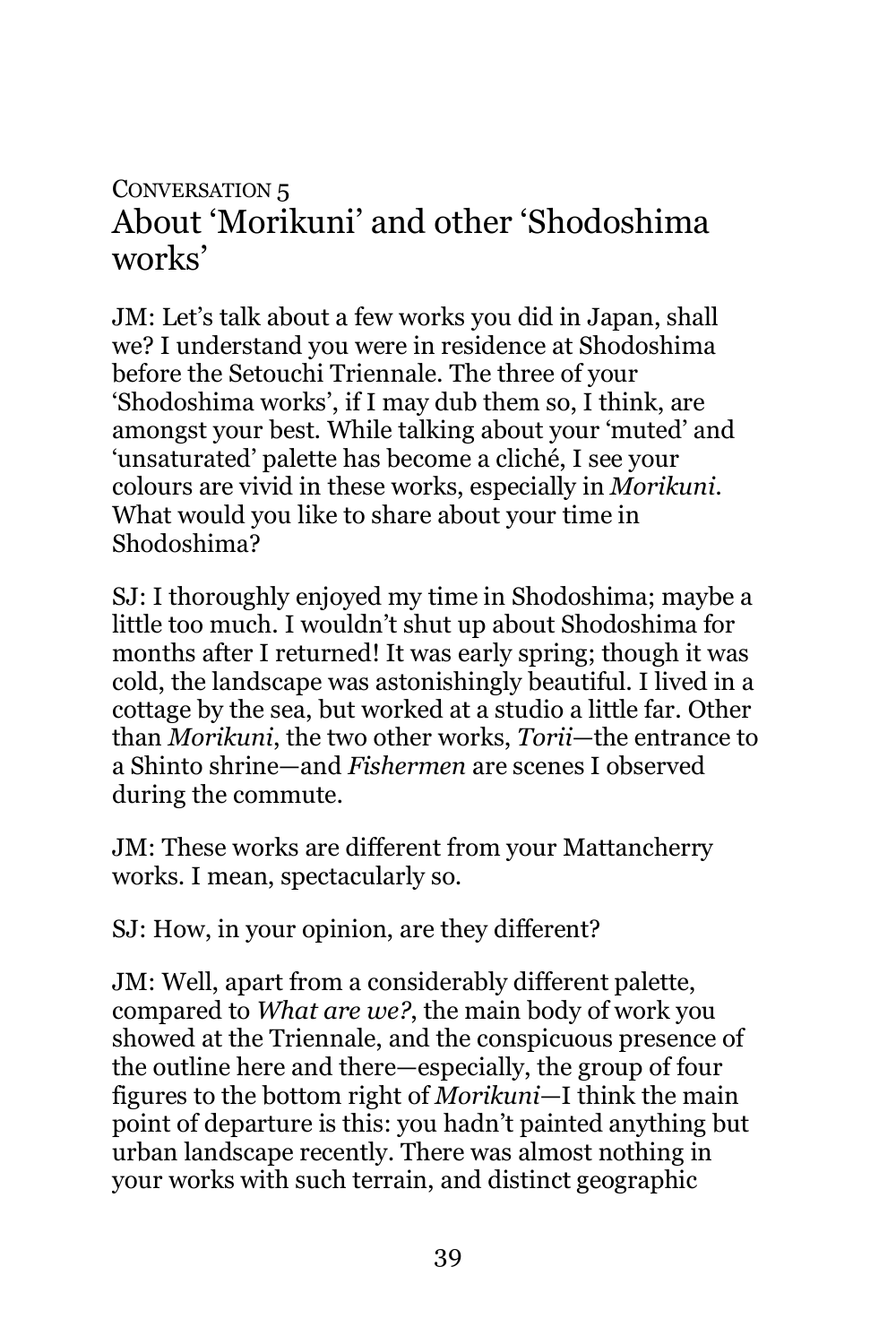#### CONVERSATION 5 About 'Morikuni' and other 'Shodoshima works'

JM: Let's talk about a few works you did in Japan, shall we? I understand you were in residence at Shodoshima before the Setouchi Triennale. The three of your 'Shodoshima works', if I may dub them so, I think, are amongst your best. While talking about your 'muted' and 'unsaturated' palette has become a cliché, I see your colours are vivid in these works, especially in *Morikuni*. What would you like to share about your time in Shodoshima?

SJ: I thoroughly enjoyed my time in Shodoshima; maybe a little too much. I wouldn't shut up about Shodoshima for months after I returned! It was early spring; though it was cold, the landscape was astonishingly beautiful. I lived in a cottage by the sea, but worked at a studio a little far. Other than *Morikuni*, the two other works, *Torii*—the entrance to a Shinto shrine—and *Fishermen* are scenes I observed during the commute.

JM: These works are different from your Mattancherry works. I mean, spectacularly so.

SJ: How, in your opinion, are they different?

JM: Well, apart from a considerably different palette, compared to *What are we?*, the main body of work you showed at the Triennale, and the conspicuous presence of the outline here and there—especially, the group of four figures to the bottom right of *Morikuni*—I think the main point of departure is this: you hadn't painted anything but urban landscape recently. There was almost nothing in your works with such terrain, and distinct geographic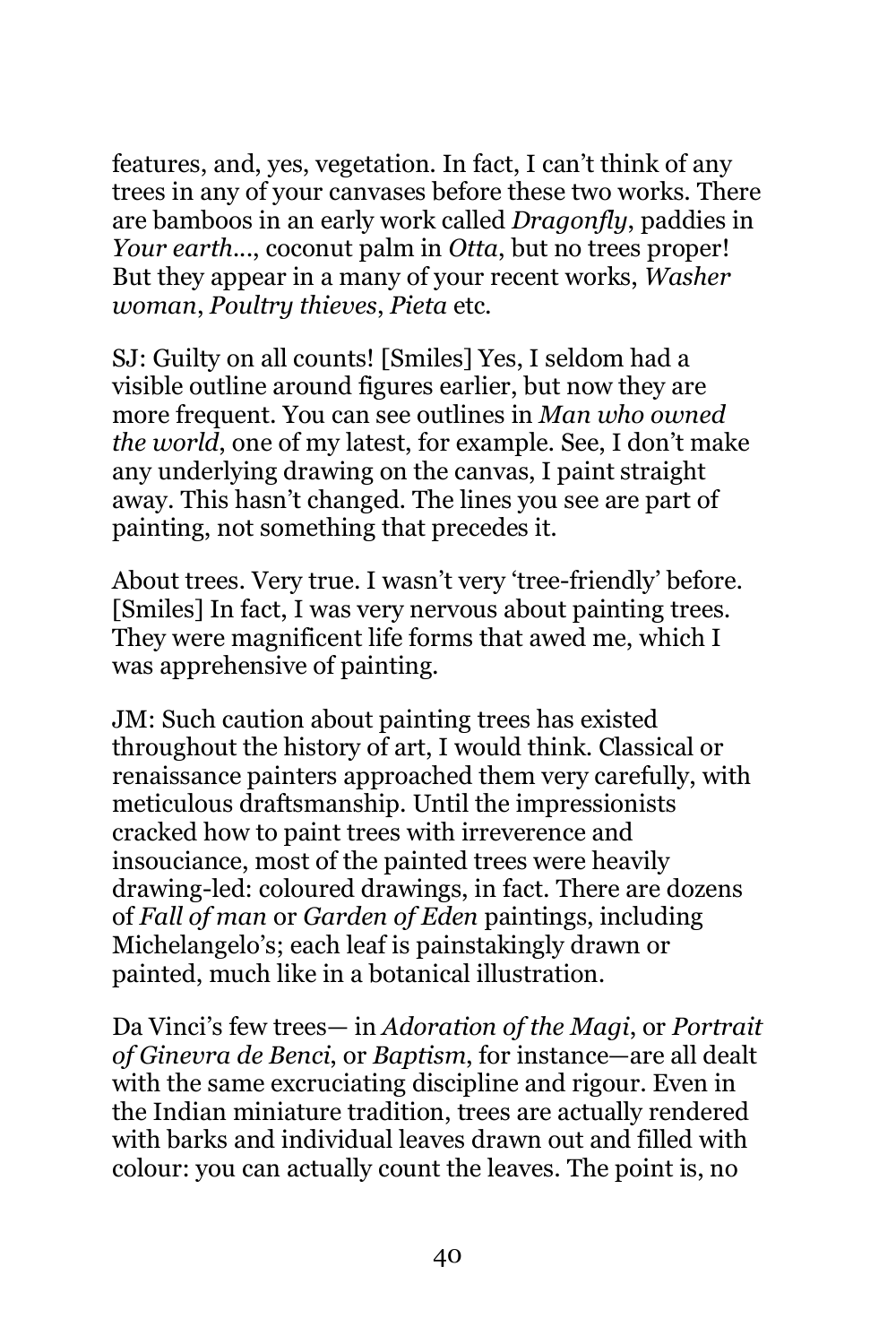features, and, yes, vegetation. In fact, I can't think of any trees in any of your canvases before these two works. There are bamboos in an early work called *Dragonfly*, paddies in *Your earth...*, coconut palm in *Otta*, but no trees proper! But they appear in a many of your recent works, *Washer woman*, *Poultry thieves*, *Pieta* etc.

SJ: Guilty on all counts! [Smiles] Yes, I seldom had a visible outline around figures earlier, but now they are more frequent. You can see outlines in *Man who owned the world*, one of my latest, for example. See, I don't make any underlying drawing on the canvas, I paint straight away. This hasn't changed. The lines you see are part of painting, not something that precedes it.

About trees. Very true. I wasn't very 'tree-friendly' before. [Smiles] In fact, I was very nervous about painting trees. They were magnificent life forms that awed me, which I was apprehensive of painting.

JM: Such caution about painting trees has existed throughout the history of art, I would think. Classical or renaissance painters approached them very carefully, with meticulous draftsmanship. Until the impressionists cracked how to paint trees with irreverence and insouciance, most of the painted trees were heavily drawing-led: coloured drawings, in fact. There are dozens of *Fall of man* or *Garden of Eden* paintings, including Michelangelo's; each leaf is painstakingly drawn or painted, much like in a botanical illustration.

Da Vinci's few trees— in *Adoration of the Magi*, or *Portrait of Ginevra de Benci*, or *Baptism*, for instance—are all dealt with the same excruciating discipline and rigour. Even in the Indian miniature tradition, trees are actually rendered with barks and individual leaves drawn out and filled with colour: you can actually count the leaves. The point is, no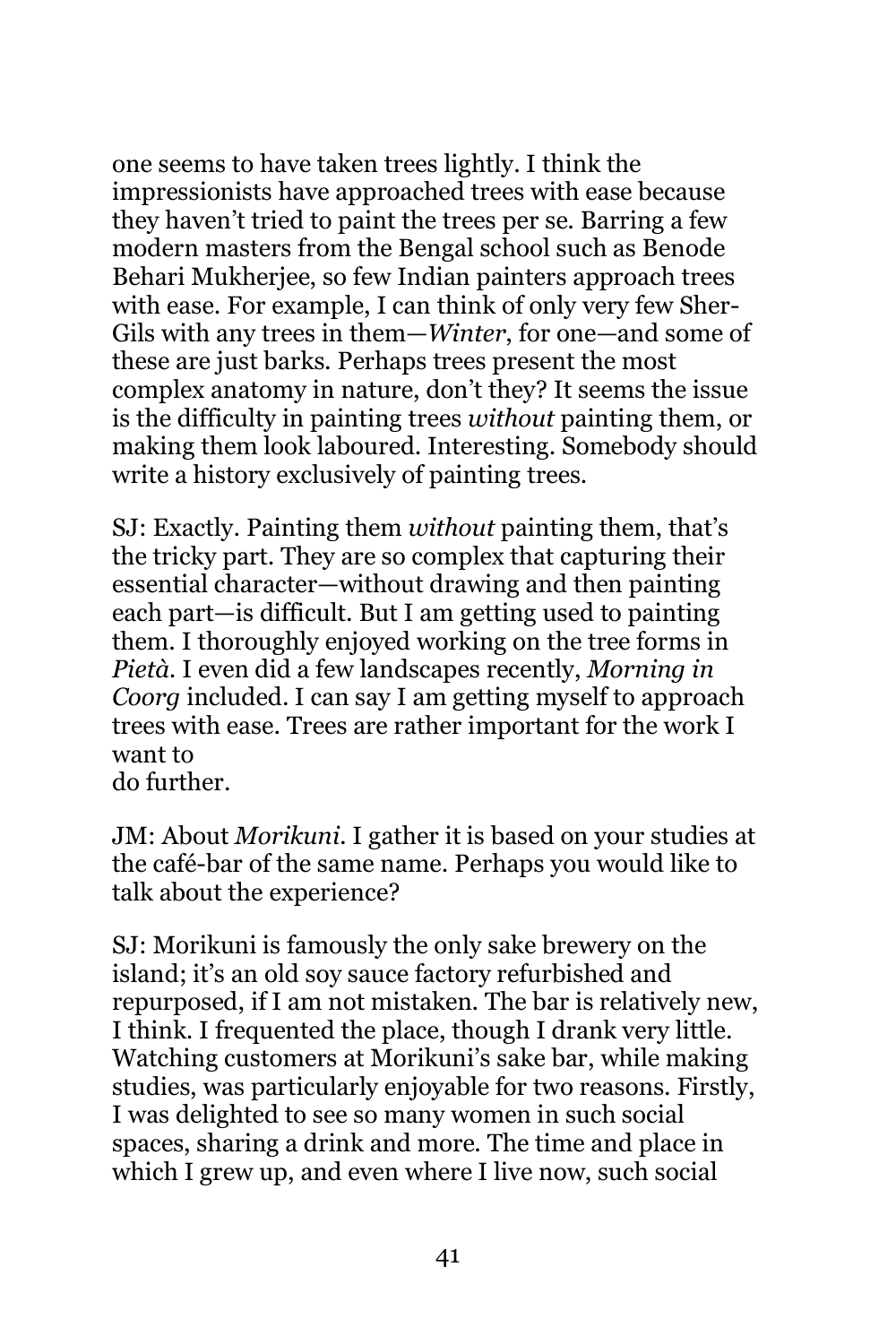one seems to have taken trees lightly. I think the impressionists have approached trees with ease because they haven't tried to paint the trees per se. Barring a few modern masters from the Bengal school such as Benode Behari Mukherjee, so few Indian painters approach trees with ease. For example, I can think of only very few Sher-Gils with any trees in them—*Winter*, for one—and some of these are just barks. Perhaps trees present the most complex anatomy in nature, don't they? It seems the issue is the difficulty in painting trees *without* painting them, or making them look laboured. Interesting. Somebody should write a history exclusively of painting trees.

SJ: Exactly. Painting them *without* painting them, that's the tricky part. They are so complex that capturing their essential character—without drawing and then painting each part—is difficult. But I am getting used to painting them. I thoroughly enjoyed working on the tree forms in *Pietà*. I even did a few landscapes recently, *Morning in Coorg* included. I can say I am getting myself to approach trees with ease. Trees are rather important for the work I want to do further.

JM: About *Morikuni.* I gather it is based on your studies at the café-bar of the same name. Perhaps you would like to talk about the experience?

SJ: Morikuni is famously the only sake brewery on the island; it's an old soy sauce factory refurbished and repurposed, if I am not mistaken. The bar is relatively new, I think. I frequented the place, though I drank very little. Watching customers at Morikuni's sake bar, while making studies, was particularly enjoyable for two reasons. Firstly, I was delighted to see so many women in such social spaces, sharing a drink and more. The time and place in which I grew up, and even where I live now, such social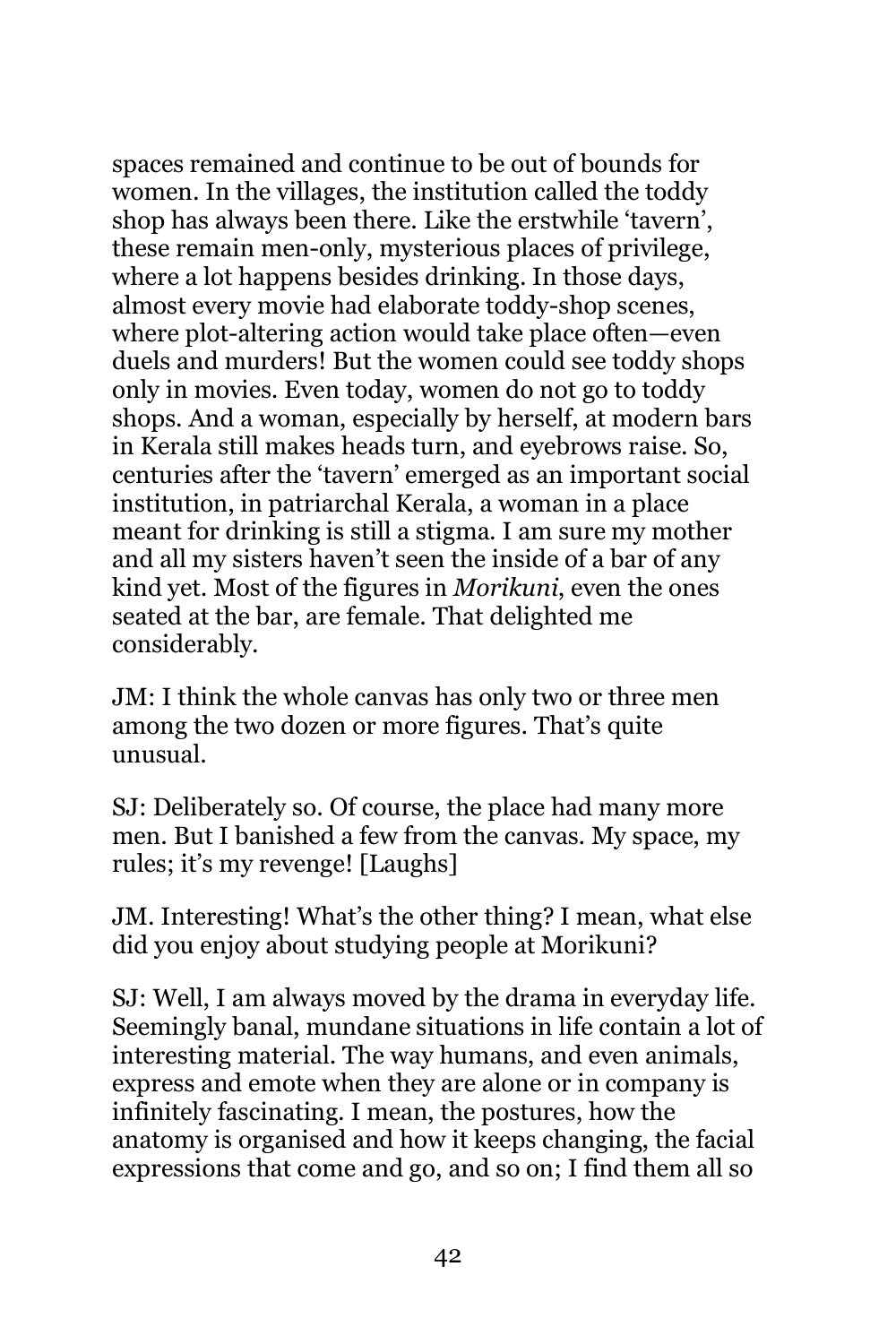spaces remained and continue to be out of bounds for women. In the villages, the institution called the toddy shop has always been there. Like the erstwhile 'tavern', these remain men-only, mysterious places of privilege, where a lot happens besides drinking. In those days, almost every movie had elaborate toddy-shop scenes, where plot-altering action would take place often—even duels and murders! But the women could see toddy shops only in movies. Even today, women do not go to toddy shops. And a woman, especially by herself, at modern bars in Kerala still makes heads turn, and eyebrows raise. So, centuries after the 'tavern' emerged as an important social institution, in patriarchal Kerala, a woman in a place meant for drinking is still a stigma. I am sure my mother and all my sisters haven't seen the inside of a bar of any kind yet. Most of the figures in *Morikuni*, even the ones seated at the bar, are female. That delighted me considerably.

JM: I think the whole canvas has only two or three men among the two dozen or more figures. That's quite unusual.

SJ: Deliberately so. Of course, the place had many more men. But I banished a few from the canvas. My space, my rules; it's my revenge! [Laughs]

JM. Interesting! What's the other thing? I mean, what else did you enjoy about studying people at Morikuni?

SJ: Well, I am always moved by the drama in everyday life. Seemingly banal, mundane situations in life contain a lot of interesting material. The way humans, and even animals, express and emote when they are alone or in company is infinitely fascinating. I mean, the postures, how the anatomy is organised and how it keeps changing, the facial expressions that come and go, and so on; I find them all so